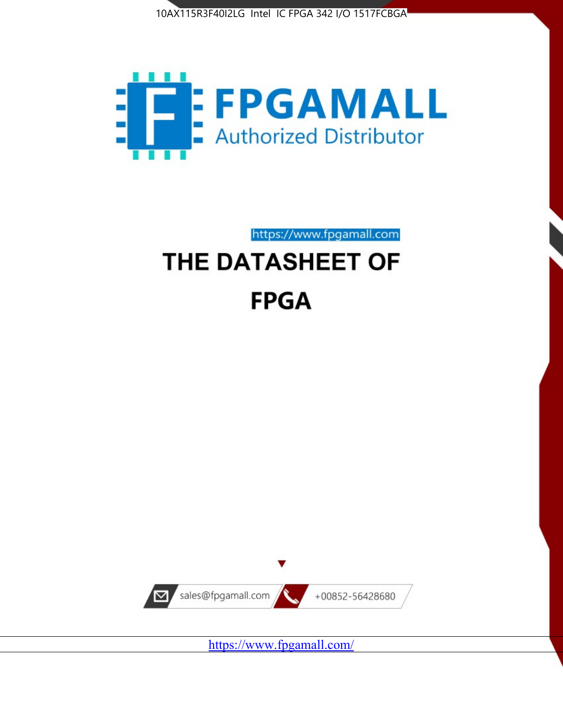



https://www.fpgamall.com

# THE DATASHEET OF **FPGA**



<https://www.fpgamall.com/>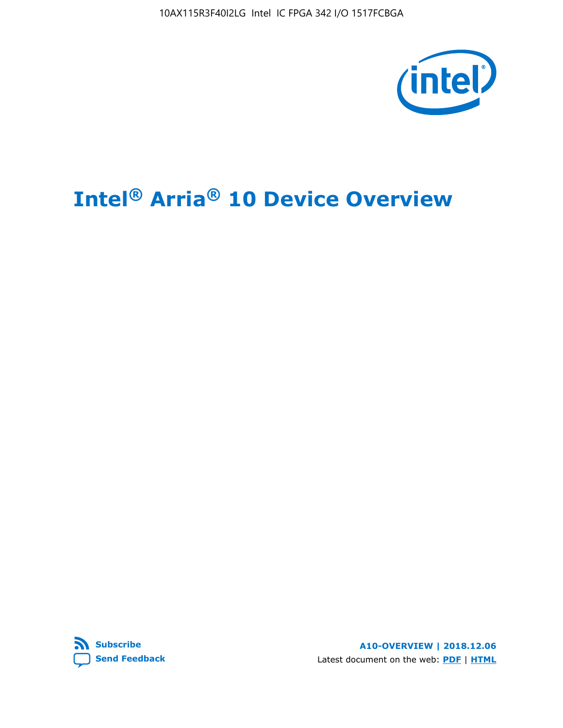10AX115R3F40I2LG Intel IC FPGA 342 I/O 1517FCBGA



# **Intel® Arria® 10 Device Overview**



**A10-OVERVIEW | 2018.12.06** Latest document on the web: **[PDF](https://www.intel.com/content/dam/www/programmable/us/en/pdfs/literature/hb/arria-10/a10_overview.pdf)** | **[HTML](https://www.intel.com/content/www/us/en/programmable/documentation/sam1403480274650.html)**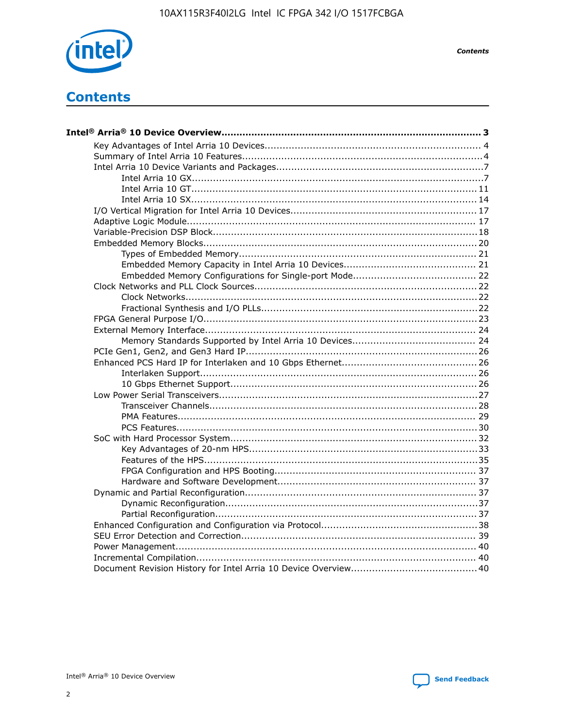

**Contents** 

# **Contents**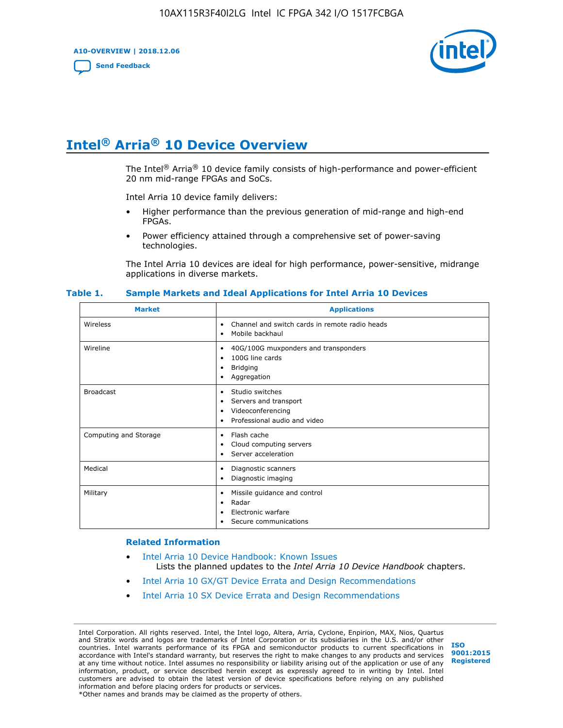**A10-OVERVIEW | 2018.12.06**

**[Send Feedback](mailto:FPGAtechdocfeedback@intel.com?subject=Feedback%20on%20Intel%20Arria%2010%20Device%20Overview%20(A10-OVERVIEW%202018.12.06)&body=We%20appreciate%20your%20feedback.%20In%20your%20comments,%20also%20specify%20the%20page%20number%20or%20paragraph.%20Thank%20you.)**



# **Intel® Arria® 10 Device Overview**

The Intel<sup>®</sup> Arria<sup>®</sup> 10 device family consists of high-performance and power-efficient 20 nm mid-range FPGAs and SoCs.

Intel Arria 10 device family delivers:

- Higher performance than the previous generation of mid-range and high-end FPGAs.
- Power efficiency attained through a comprehensive set of power-saving technologies.

The Intel Arria 10 devices are ideal for high performance, power-sensitive, midrange applications in diverse markets.

| <b>Market</b>         | <b>Applications</b>                                                                                               |
|-----------------------|-------------------------------------------------------------------------------------------------------------------|
| Wireless              | Channel and switch cards in remote radio heads<br>٠<br>Mobile backhaul<br>٠                                       |
| Wireline              | 40G/100G muxponders and transponders<br>٠<br>100G line cards<br>٠<br><b>Bridging</b><br>٠<br>Aggregation<br>٠     |
| <b>Broadcast</b>      | Studio switches<br>٠<br>Servers and transport<br>٠<br>Videoconferencing<br>٠<br>Professional audio and video<br>٠ |
| Computing and Storage | Flash cache<br>٠<br>Cloud computing servers<br>٠<br>Server acceleration<br>٠                                      |
| Medical               | Diagnostic scanners<br>٠<br>Diagnostic imaging<br>٠                                                               |
| Military              | Missile guidance and control<br>٠<br>Radar<br>٠<br>Electronic warfare<br>٠<br>Secure communications<br>٠          |

#### **Table 1. Sample Markets and Ideal Applications for Intel Arria 10 Devices**

#### **Related Information**

- [Intel Arria 10 Device Handbook: Known Issues](http://www.altera.com/support/kdb/solutions/rd07302013_646.html) Lists the planned updates to the *Intel Arria 10 Device Handbook* chapters.
- [Intel Arria 10 GX/GT Device Errata and Design Recommendations](https://www.intel.com/content/www/us/en/programmable/documentation/agz1493851706374.html#yqz1494433888646)
- [Intel Arria 10 SX Device Errata and Design Recommendations](https://www.intel.com/content/www/us/en/programmable/documentation/cru1462832385668.html#cru1462832558642)

Intel Corporation. All rights reserved. Intel, the Intel logo, Altera, Arria, Cyclone, Enpirion, MAX, Nios, Quartus and Stratix words and logos are trademarks of Intel Corporation or its subsidiaries in the U.S. and/or other countries. Intel warrants performance of its FPGA and semiconductor products to current specifications in accordance with Intel's standard warranty, but reserves the right to make changes to any products and services at any time without notice. Intel assumes no responsibility or liability arising out of the application or use of any information, product, or service described herein except as expressly agreed to in writing by Intel. Intel customers are advised to obtain the latest version of device specifications before relying on any published information and before placing orders for products or services. \*Other names and brands may be claimed as the property of others.

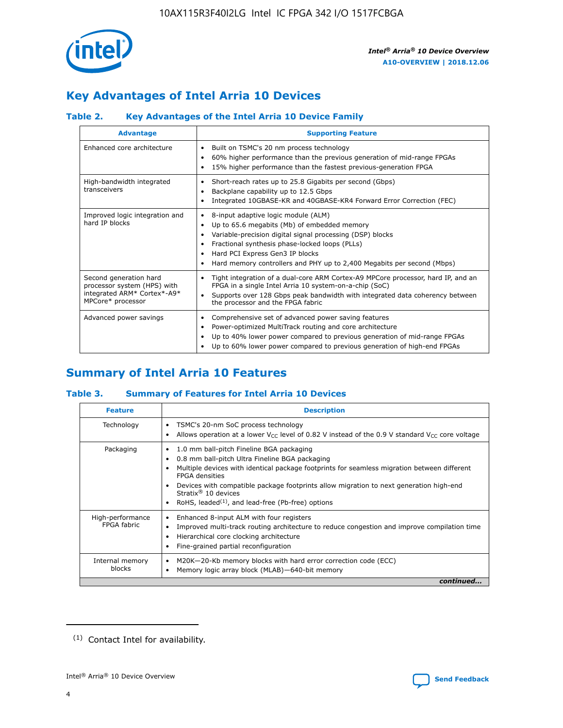

# **Key Advantages of Intel Arria 10 Devices**

# **Table 2. Key Advantages of the Intel Arria 10 Device Family**

| <b>Advantage</b>                                                                                          | <b>Supporting Feature</b>                                                                                                                                                                                                                                                                                                     |  |  |  |  |  |
|-----------------------------------------------------------------------------------------------------------|-------------------------------------------------------------------------------------------------------------------------------------------------------------------------------------------------------------------------------------------------------------------------------------------------------------------------------|--|--|--|--|--|
| Enhanced core architecture                                                                                | Built on TSMC's 20 nm process technology<br>٠<br>60% higher performance than the previous generation of mid-range FPGAs<br>٠<br>15% higher performance than the fastest previous-generation FPGA<br>٠                                                                                                                         |  |  |  |  |  |
| High-bandwidth integrated<br>transceivers                                                                 | Short-reach rates up to 25.8 Gigabits per second (Gbps)<br>٠<br>Backplane capability up to 12.5 Gbps<br>٠<br>Integrated 10GBASE-KR and 40GBASE-KR4 Forward Error Correction (FEC)<br>٠                                                                                                                                        |  |  |  |  |  |
| Improved logic integration and<br>hard IP blocks                                                          | 8-input adaptive logic module (ALM)<br>٠<br>Up to 65.6 megabits (Mb) of embedded memory<br>٠<br>Variable-precision digital signal processing (DSP) blocks<br>Fractional synthesis phase-locked loops (PLLs)<br>٠<br>Hard PCI Express Gen3 IP blocks<br>Hard memory controllers and PHY up to 2,400 Megabits per second (Mbps) |  |  |  |  |  |
| Second generation hard<br>processor system (HPS) with<br>integrated ARM* Cortex*-A9*<br>MPCore* processor | Tight integration of a dual-core ARM Cortex-A9 MPCore processor, hard IP, and an<br>٠<br>FPGA in a single Intel Arria 10 system-on-a-chip (SoC)<br>Supports over 128 Gbps peak bandwidth with integrated data coherency between<br>$\bullet$<br>the processor and the FPGA fabric                                             |  |  |  |  |  |
| Advanced power savings                                                                                    | Comprehensive set of advanced power saving features<br>٠<br>Power-optimized MultiTrack routing and core architecture<br>٠<br>Up to 40% lower power compared to previous generation of mid-range FPGAs<br>Up to 60% lower power compared to previous generation of high-end FPGAs<br>٠                                         |  |  |  |  |  |

# **Summary of Intel Arria 10 Features**

## **Table 3. Summary of Features for Intel Arria 10 Devices**

| <b>Feature</b>                  | <b>Description</b>                                                                                                                                                                                                                                                                                                                                                                                 |
|---------------------------------|----------------------------------------------------------------------------------------------------------------------------------------------------------------------------------------------------------------------------------------------------------------------------------------------------------------------------------------------------------------------------------------------------|
| Technology                      | TSMC's 20-nm SoC process technology<br>Allows operation at a lower $V_{\text{CC}}$ level of 0.82 V instead of the 0.9 V standard $V_{\text{CC}}$ core voltage                                                                                                                                                                                                                                      |
| Packaging                       | 1.0 mm ball-pitch Fineline BGA packaging<br>٠<br>0.8 mm ball-pitch Ultra Fineline BGA packaging<br>Multiple devices with identical package footprints for seamless migration between different<br><b>FPGA</b> densities<br>Devices with compatible package footprints allow migration to next generation high-end<br>Stratix $@10$ devices<br>RoHS, leaded $(1)$ , and lead-free (Pb-free) options |
| High-performance<br>FPGA fabric | Enhanced 8-input ALM with four registers<br>Improved multi-track routing architecture to reduce congestion and improve compilation time<br>Hierarchical core clocking architecture<br>Fine-grained partial reconfiguration                                                                                                                                                                         |
| Internal memory<br>blocks       | M20K-20-Kb memory blocks with hard error correction code (ECC)<br>Memory logic array block (MLAB)-640-bit memory                                                                                                                                                                                                                                                                                   |
|                                 | continued                                                                                                                                                                                                                                                                                                                                                                                          |



<sup>(1)</sup> Contact Intel for availability.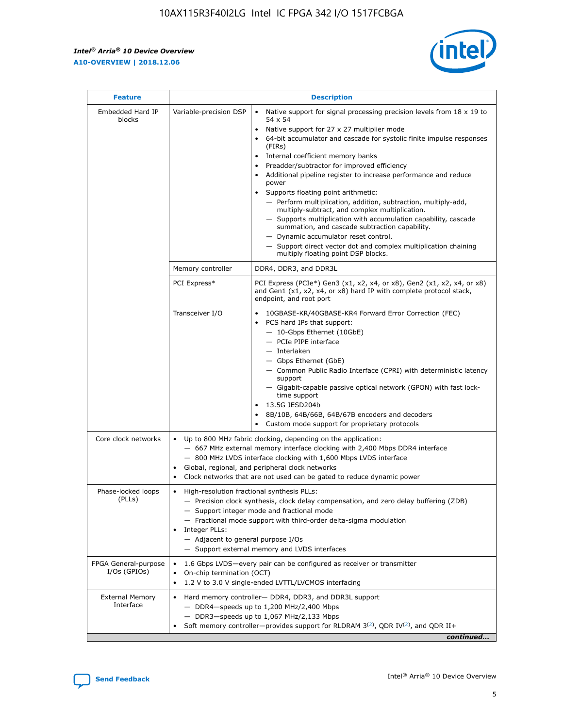r



| <b>Feature</b>                         |                                                                                                                | <b>Description</b>                                                                                                                                                                                                                                                                                                                                                                                                                                                                                                                                                                                                                                                                                                                                                                                                                                               |
|----------------------------------------|----------------------------------------------------------------------------------------------------------------|------------------------------------------------------------------------------------------------------------------------------------------------------------------------------------------------------------------------------------------------------------------------------------------------------------------------------------------------------------------------------------------------------------------------------------------------------------------------------------------------------------------------------------------------------------------------------------------------------------------------------------------------------------------------------------------------------------------------------------------------------------------------------------------------------------------------------------------------------------------|
| Embedded Hard IP<br>blocks             | Variable-precision DSP                                                                                         | Native support for signal processing precision levels from $18 \times 19$ to<br>$\bullet$<br>54 x 54<br>Native support for 27 x 27 multiplier mode<br>$\bullet$<br>64-bit accumulator and cascade for systolic finite impulse responses<br>(FIRs)<br>Internal coefficient memory banks<br>$\bullet$<br>Preadder/subtractor for improved efficiency<br>Additional pipeline register to increase performance and reduce<br>power<br>Supports floating point arithmetic:<br>- Perform multiplication, addition, subtraction, multiply-add,<br>multiply-subtract, and complex multiplication.<br>- Supports multiplication with accumulation capability, cascade<br>summation, and cascade subtraction capability.<br>- Dynamic accumulator reset control.<br>- Support direct vector dot and complex multiplication chaining<br>multiply floating point DSP blocks. |
|                                        | Memory controller                                                                                              | DDR4, DDR3, and DDR3L                                                                                                                                                                                                                                                                                                                                                                                                                                                                                                                                                                                                                                                                                                                                                                                                                                            |
|                                        | PCI Express*                                                                                                   | PCI Express (PCIe*) Gen3 (x1, x2, x4, or x8), Gen2 (x1, x2, x4, or x8)<br>and Gen1 (x1, x2, x4, or x8) hard IP with complete protocol stack,<br>endpoint, and root port                                                                                                                                                                                                                                                                                                                                                                                                                                                                                                                                                                                                                                                                                          |
|                                        | Transceiver I/O                                                                                                | 10GBASE-KR/40GBASE-KR4 Forward Error Correction (FEC)<br>PCS hard IPs that support:<br>- 10-Gbps Ethernet (10GbE)<br>- PCIe PIPE interface<br>- Interlaken<br>- Gbps Ethernet (GbE)<br>- Common Public Radio Interface (CPRI) with deterministic latency<br>support<br>- Gigabit-capable passive optical network (GPON) with fast lock-<br>time support<br>13.5G JESD204b<br>$\bullet$<br>8B/10B, 64B/66B, 64B/67B encoders and decoders<br>Custom mode support for proprietary protocols                                                                                                                                                                                                                                                                                                                                                                        |
| Core clock networks                    | $\bullet$                                                                                                      | Up to 800 MHz fabric clocking, depending on the application:<br>- 667 MHz external memory interface clocking with 2,400 Mbps DDR4 interface<br>- 800 MHz LVDS interface clocking with 1,600 Mbps LVDS interface<br>Global, regional, and peripheral clock networks<br>Clock networks that are not used can be gated to reduce dynamic power                                                                                                                                                                                                                                                                                                                                                                                                                                                                                                                      |
| Phase-locked loops<br>(PLLs)           | High-resolution fractional synthesis PLLs:<br>$\bullet$<br>Integer PLLs:<br>- Adjacent to general purpose I/Os | - Precision clock synthesis, clock delay compensation, and zero delay buffering (ZDB)<br>- Support integer mode and fractional mode<br>- Fractional mode support with third-order delta-sigma modulation<br>- Support external memory and LVDS interfaces                                                                                                                                                                                                                                                                                                                                                                                                                                                                                                                                                                                                        |
| FPGA General-purpose<br>$I/Os$ (GPIOs) | On-chip termination (OCT)<br>٠<br>$\bullet$                                                                    | 1.6 Gbps LVDS-every pair can be configured as receiver or transmitter<br>1.2 V to 3.0 V single-ended LVTTL/LVCMOS interfacing                                                                                                                                                                                                                                                                                                                                                                                                                                                                                                                                                                                                                                                                                                                                    |
| <b>External Memory</b><br>Interface    | $\bullet$                                                                                                      | Hard memory controller- DDR4, DDR3, and DDR3L support<br>$-$ DDR4-speeds up to 1,200 MHz/2,400 Mbps<br>- DDR3-speeds up to 1,067 MHz/2,133 Mbps<br>Soft memory controller—provides support for RLDRAM $3^{(2)}$ , QDR IV $^{(2)}$ , and QDR II+<br>continued                                                                                                                                                                                                                                                                                                                                                                                                                                                                                                                                                                                                     |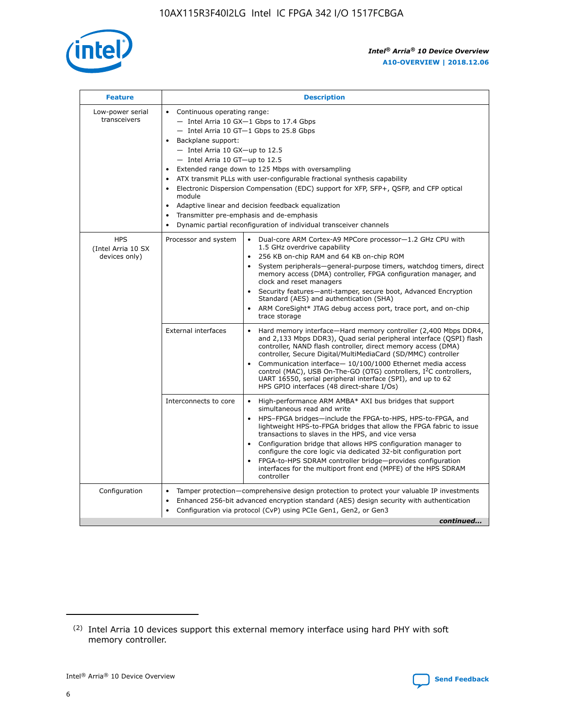

| <b>Feature</b>                                    | <b>Description</b>                                                                                                                                                                                                                                                                                                                                                                                                                                                                                                                                                                                                                                      |  |  |  |  |  |  |  |  |
|---------------------------------------------------|---------------------------------------------------------------------------------------------------------------------------------------------------------------------------------------------------------------------------------------------------------------------------------------------------------------------------------------------------------------------------------------------------------------------------------------------------------------------------------------------------------------------------------------------------------------------------------------------------------------------------------------------------------|--|--|--|--|--|--|--|--|
| Low-power serial<br>transceivers                  | • Continuous operating range:<br>- Intel Arria 10 GX-1 Gbps to 17.4 Gbps<br>- Intel Arria 10 GT-1 Gbps to 25.8 Gbps<br>Backplane support:<br>$-$ Intel Arria 10 GX-up to 12.5<br>- Intel Arria 10 GT-up to 12.5<br>Extended range down to 125 Mbps with oversampling<br>ATX transmit PLLs with user-configurable fractional synthesis capability<br>• Electronic Dispersion Compensation (EDC) support for XFP, SFP+, QSFP, and CFP optical<br>module<br>Adaptive linear and decision feedback equalization<br>$\bullet$<br>Transmitter pre-emphasis and de-emphasis<br>$\bullet$<br>Dynamic partial reconfiguration of individual transceiver channels |  |  |  |  |  |  |  |  |
| <b>HPS</b><br>(Intel Arria 10 SX<br>devices only) | Processor and system<br>Dual-core ARM Cortex-A9 MPCore processor-1.2 GHz CPU with<br>$\bullet$<br>1.5 GHz overdrive capability<br>• 256 KB on-chip RAM and 64 KB on-chip ROM<br>System peripherals-general-purpose timers, watchdog timers, direct<br>memory access (DMA) controller, FPGA configuration manager, and<br>clock and reset managers<br>• Security features—anti-tamper, secure boot, Advanced Encryption<br>Standard (AES) and authentication (SHA)<br>ARM CoreSight* JTAG debug access port, trace port, and on-chip<br>trace storage                                                                                                    |  |  |  |  |  |  |  |  |
|                                                   | <b>External interfaces</b><br>Hard memory interface—Hard memory controller (2,400 Mbps DDR4,<br>$\bullet$<br>and 2,133 Mbps DDR3), Quad serial peripheral interface (QSPI) flash<br>controller, NAND flash controller, direct memory access (DMA)<br>controller, Secure Digital/MultiMediaCard (SD/MMC) controller<br>Communication interface-10/100/1000 Ethernet media access<br>control (MAC), USB On-The-GO (OTG) controllers, I <sup>2</sup> C controllers,<br>UART 16550, serial peripheral interface (SPI), and up to 62<br>HPS GPIO interfaces (48 direct-share I/Os)                                                                           |  |  |  |  |  |  |  |  |
|                                                   | High-performance ARM AMBA* AXI bus bridges that support<br>Interconnects to core<br>$\bullet$<br>simultaneous read and write<br>HPS-FPGA bridges—include the FPGA-to-HPS, HPS-to-FPGA, and<br>lightweight HPS-to-FPGA bridges that allow the FPGA fabric to issue<br>transactions to slaves in the HPS, and vice versa<br>Configuration bridge that allows HPS configuration manager to<br>configure the core logic via dedicated 32-bit configuration port<br>FPGA-to-HPS SDRAM controller bridge-provides configuration<br>interfaces for the multiport front end (MPFE) of the HPS SDRAM<br>controller                                               |  |  |  |  |  |  |  |  |
| Configuration                                     | Tamper protection—comprehensive design protection to protect your valuable IP investments<br>Enhanced 256-bit advanced encryption standard (AES) design security with authentication<br>٠<br>Configuration via protocol (CvP) using PCIe Gen1, Gen2, or Gen3<br>continued                                                                                                                                                                                                                                                                                                                                                                               |  |  |  |  |  |  |  |  |

<sup>(2)</sup> Intel Arria 10 devices support this external memory interface using hard PHY with soft memory controller.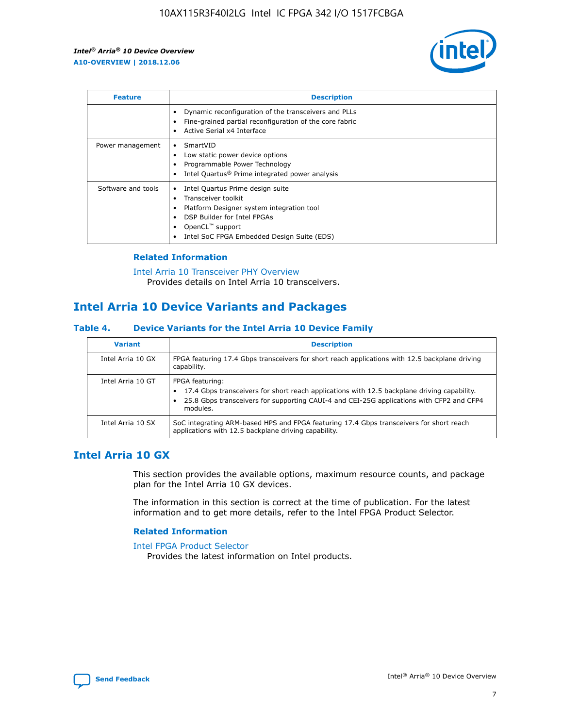

| <b>Feature</b>     | <b>Description</b>                                                                                                                                                                                               |
|--------------------|------------------------------------------------------------------------------------------------------------------------------------------------------------------------------------------------------------------|
|                    | Dynamic reconfiguration of the transceivers and PLLs<br>Fine-grained partial reconfiguration of the core fabric<br>Active Serial x4 Interface<br>$\bullet$                                                       |
| Power management   | SmartVID<br>Low static power device options<br>Programmable Power Technology<br>Intel Quartus <sup>®</sup> Prime integrated power analysis                                                                       |
| Software and tools | Intel Quartus Prime design suite<br>Transceiver toolkit<br>Platform Designer system integration tool<br>DSP Builder for Intel FPGAs<br>OpenCL <sup>™</sup> support<br>Intel SoC FPGA Embedded Design Suite (EDS) |

## **Related Information**

[Intel Arria 10 Transceiver PHY Overview](https://www.intel.com/content/www/us/en/programmable/documentation/nik1398707230472.html#nik1398706768037) Provides details on Intel Arria 10 transceivers.

# **Intel Arria 10 Device Variants and Packages**

#### **Table 4. Device Variants for the Intel Arria 10 Device Family**

| <b>Variant</b>    | <b>Description</b>                                                                                                                                                                                                     |
|-------------------|------------------------------------------------------------------------------------------------------------------------------------------------------------------------------------------------------------------------|
| Intel Arria 10 GX | FPGA featuring 17.4 Gbps transceivers for short reach applications with 12.5 backplane driving<br>capability.                                                                                                          |
| Intel Arria 10 GT | FPGA featuring:<br>17.4 Gbps transceivers for short reach applications with 12.5 backplane driving capability.<br>25.8 Gbps transceivers for supporting CAUI-4 and CEI-25G applications with CFP2 and CFP4<br>modules. |
| Intel Arria 10 SX | SoC integrating ARM-based HPS and FPGA featuring 17.4 Gbps transceivers for short reach<br>applications with 12.5 backplane driving capability.                                                                        |

# **Intel Arria 10 GX**

This section provides the available options, maximum resource counts, and package plan for the Intel Arria 10 GX devices.

The information in this section is correct at the time of publication. For the latest information and to get more details, refer to the Intel FPGA Product Selector.

#### **Related Information**

#### [Intel FPGA Product Selector](http://www.altera.com/products/selector/psg-selector.html) Provides the latest information on Intel products.

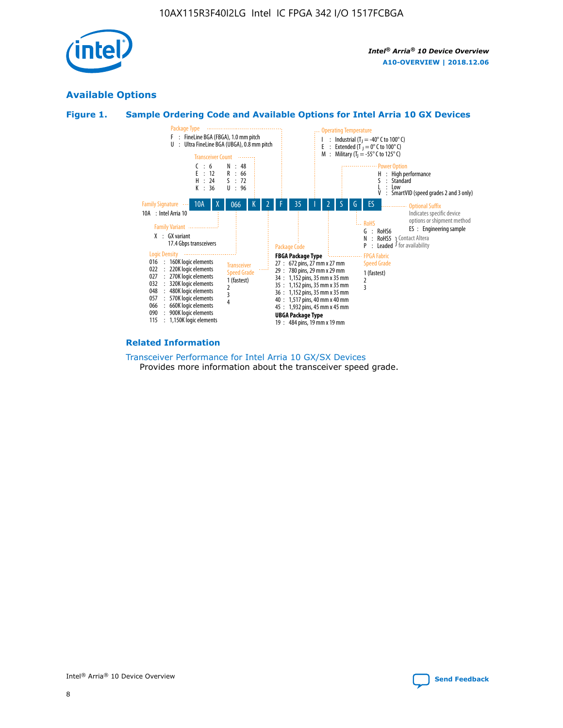

# **Available Options**





#### **Related Information**

[Transceiver Performance for Intel Arria 10 GX/SX Devices](https://www.intel.com/content/www/us/en/programmable/documentation/mcn1413182292568.html#mcn1413213965502) Provides more information about the transceiver speed grade.

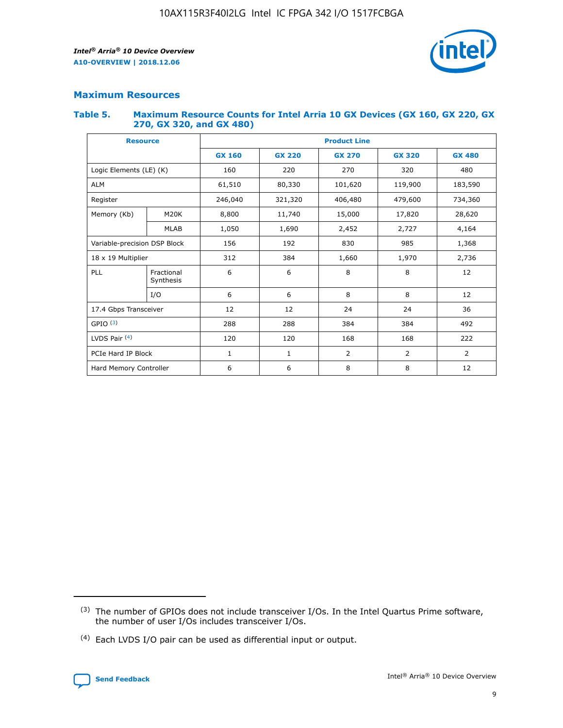

## **Maximum Resources**

#### **Table 5. Maximum Resource Counts for Intel Arria 10 GX Devices (GX 160, GX 220, GX 270, GX 320, and GX 480)**

| <b>Resource</b>                       |                    | <b>Product Line</b> |                                |                |                |               |  |  |  |
|---------------------------------------|--------------------|---------------------|--------------------------------|----------------|----------------|---------------|--|--|--|
|                                       |                    | <b>GX 160</b>       | <b>GX 220</b><br><b>GX 270</b> |                | <b>GX 320</b>  | <b>GX 480</b> |  |  |  |
| Logic Elements (LE) (K)               |                    | 160                 | 220                            | 270            | 320            | 480           |  |  |  |
| <b>ALM</b>                            |                    | 61,510              | 80,330                         | 101,620        | 119,900        | 183,590       |  |  |  |
| Register                              |                    | 246,040             | 321,320                        | 406,480        | 479,600        | 734,360       |  |  |  |
| Memory (Kb)                           | M <sub>20</sub> K  | 8,800               | 11,740                         | 15,000         | 17,820         | 28,620        |  |  |  |
| <b>MLAB</b>                           |                    | 1,050               | 1,690                          | 2,452          | 2,727          | 4,164         |  |  |  |
| Variable-precision DSP Block          |                    | 156                 | 192<br>830<br>985              |                |                | 1,368         |  |  |  |
|                                       | 18 x 19 Multiplier |                     | 384                            | 1,970<br>1,660 |                | 2,736         |  |  |  |
| PLL<br>Fractional<br>Synthesis<br>I/O |                    | 6                   | 6                              | 8              | 8              | 12            |  |  |  |
|                                       |                    | 6                   | 6                              | 8              | 8              | 12            |  |  |  |
| 17.4 Gbps Transceiver                 |                    | 12                  | 12                             | 24             | 24             | 36            |  |  |  |
| GPIO <sup>(3)</sup>                   |                    | 288<br>288<br>384   |                                | 384            | 492            |               |  |  |  |
| LVDS Pair $(4)$                       |                    | 120                 | 120                            | 168            | 168            | 222           |  |  |  |
| PCIe Hard IP Block                    |                    | 1                   | 1                              | $\overline{2}$ | $\overline{2}$ | 2             |  |  |  |
| Hard Memory Controller                |                    | 6                   | 6                              | 8              | 8              | 12            |  |  |  |

<sup>(4)</sup> Each LVDS I/O pair can be used as differential input or output.



<sup>(3)</sup> The number of GPIOs does not include transceiver I/Os. In the Intel Quartus Prime software, the number of user I/Os includes transceiver I/Os.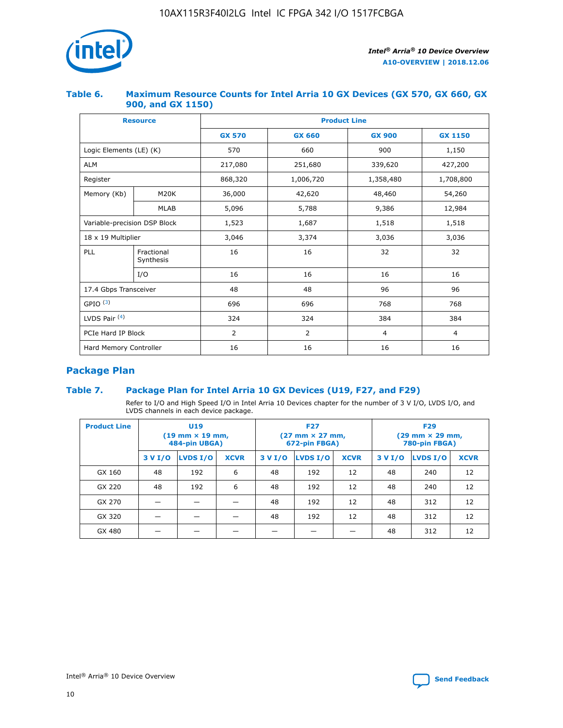

## **Table 6. Maximum Resource Counts for Intel Arria 10 GX Devices (GX 570, GX 660, GX 900, and GX 1150)**

|                              | <b>Resource</b>         | <b>Product Line</b> |                |                |                |  |  |  |
|------------------------------|-------------------------|---------------------|----------------|----------------|----------------|--|--|--|
|                              |                         | <b>GX 570</b>       | <b>GX 660</b>  | <b>GX 900</b>  | <b>GX 1150</b> |  |  |  |
| Logic Elements (LE) (K)      |                         | 570                 | 660            | 900            | 1,150          |  |  |  |
| <b>ALM</b>                   |                         | 217,080             | 251,680        | 339,620        | 427,200        |  |  |  |
| Register                     |                         | 868,320             | 1,006,720      | 1,358,480      | 1,708,800      |  |  |  |
| Memory (Kb)                  | <b>M20K</b>             | 36,000              | 42,620         | 48,460         | 54,260         |  |  |  |
| <b>MLAB</b>                  |                         | 5,096               | 5,788<br>9,386 |                | 12,984         |  |  |  |
| Variable-precision DSP Block |                         | 1,523               | 1,687          | 1,518          | 1,518          |  |  |  |
| $18 \times 19$ Multiplier    |                         | 3,046               | 3,374          | 3,036          | 3,036          |  |  |  |
| PLL                          | Fractional<br>Synthesis | 16                  | 16             | 32             | 32             |  |  |  |
|                              | I/O                     | 16                  | 16             | 16             | 16             |  |  |  |
| 17.4 Gbps Transceiver        |                         | 48                  | 48             | 96             | 96             |  |  |  |
| GPIO <sup>(3)</sup>          |                         | 696                 | 696            | 768            | 768            |  |  |  |
| LVDS Pair $(4)$              |                         | 324                 | 324            | 384            | 384            |  |  |  |
| PCIe Hard IP Block           |                         | 2                   | $\overline{2}$ | $\overline{4}$ | 4              |  |  |  |
| Hard Memory Controller       |                         | 16<br>16            |                | 16             | 16             |  |  |  |

# **Package Plan**

# **Table 7. Package Plan for Intel Arria 10 GX Devices (U19, F27, and F29)**

Refer to I/O and High Speed I/O in Intel Arria 10 Devices chapter for the number of 3 V I/O, LVDS I/O, and LVDS channels in each device package.

| <b>Product Line</b> |         | U <sub>19</sub><br>$(19 \text{ mm} \times 19 \text{ mm})$<br>484-pin UBGA) |             |         | <b>F27</b><br>(27 mm × 27 mm,<br>672-pin FBGA) |             | <b>F29</b><br>(29 mm × 29 mm,<br>780-pin FBGA) |          |             |
|---------------------|---------|----------------------------------------------------------------------------|-------------|---------|------------------------------------------------|-------------|------------------------------------------------|----------|-------------|
|                     | 3 V I/O | LVDS I/O                                                                   | <b>XCVR</b> | 3 V I/O | <b>LVDS I/O</b>                                | <b>XCVR</b> | 3 V I/O                                        | LVDS I/O | <b>XCVR</b> |
| GX 160              | 48      | 192                                                                        | 6           | 48      | 192                                            | 12          | 48                                             | 240      | 12          |
| GX 220              | 48      | 192                                                                        | 6           | 48      | 192                                            | 12          | 48                                             | 240      | 12          |
| GX 270              |         |                                                                            |             | 48      | 192                                            | 12          | 48                                             | 312      | 12          |
| GX 320              |         |                                                                            |             | 48      | 192                                            | 12          | 48                                             | 312      | 12          |
| GX 480              |         |                                                                            |             |         |                                                |             | 48                                             | 312      | 12          |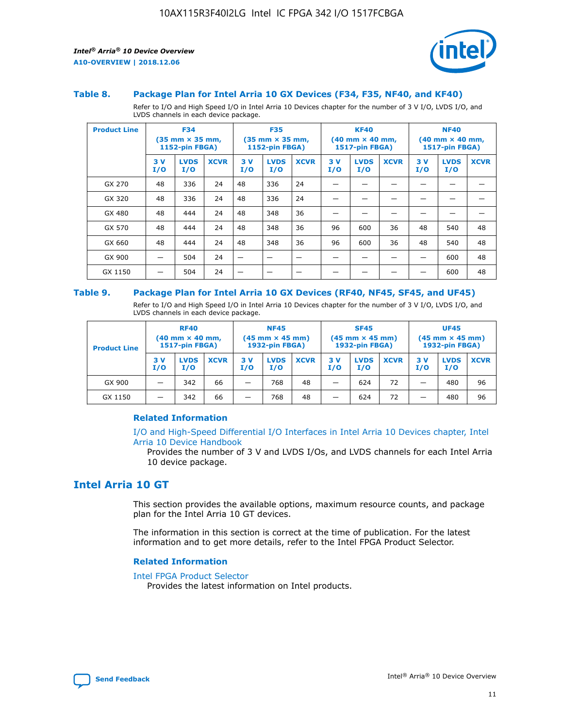

#### **Table 8. Package Plan for Intel Arria 10 GX Devices (F34, F35, NF40, and KF40)**

Refer to I/O and High Speed I/O in Intel Arria 10 Devices chapter for the number of 3 V I/O, LVDS I/O, and LVDS channels in each device package.

| <b>Product Line</b> |           | <b>F34</b><br>$(35 \text{ mm} \times 35 \text{ mm})$<br><b>1152-pin FBGA)</b> |             |           | <b>F35</b><br>$(35 \text{ mm} \times 35 \text{ mm})$<br><b>1152-pin FBGA)</b> |             | <b>KF40</b><br>$(40$ mm $\times$ 40 mm,<br><b>1517-pin FBGA)</b> |                    | <b>NF40</b><br>$(40 \text{ mm} \times 40 \text{ mm})$<br>1517-pin FBGA) |           |                    |             |
|---------------------|-----------|-------------------------------------------------------------------------------|-------------|-----------|-------------------------------------------------------------------------------|-------------|------------------------------------------------------------------|--------------------|-------------------------------------------------------------------------|-----------|--------------------|-------------|
|                     | 3V<br>I/O | <b>LVDS</b><br>I/O                                                            | <b>XCVR</b> | 3V<br>I/O | <b>LVDS</b><br>I/O                                                            | <b>XCVR</b> | 3V<br>I/O                                                        | <b>LVDS</b><br>I/O | <b>XCVR</b>                                                             | 3V<br>I/O | <b>LVDS</b><br>I/O | <b>XCVR</b> |
| GX 270              | 48        | 336                                                                           | 24          | 48        | 336                                                                           | 24          |                                                                  |                    |                                                                         |           |                    |             |
| GX 320              | 48        | 336                                                                           | 24          | 48        | 336                                                                           | 24          |                                                                  |                    |                                                                         |           |                    |             |
| GX 480              | 48        | 444                                                                           | 24          | 48        | 348                                                                           | 36          |                                                                  |                    |                                                                         |           |                    |             |
| GX 570              | 48        | 444                                                                           | 24          | 48        | 348                                                                           | 36          | 96                                                               | 600                | 36                                                                      | 48        | 540                | 48          |
| GX 660              | 48        | 444                                                                           | 24          | 48        | 348                                                                           | 36          | 96                                                               | 600                | 36                                                                      | 48        | 540                | 48          |
| GX 900              |           | 504                                                                           | 24          | —         |                                                                               | -           |                                                                  |                    |                                                                         |           | 600                | 48          |
| GX 1150             |           | 504                                                                           | 24          |           |                                                                               |             |                                                                  |                    |                                                                         |           | 600                | 48          |

#### **Table 9. Package Plan for Intel Arria 10 GX Devices (RF40, NF45, SF45, and UF45)**

Refer to I/O and High Speed I/O in Intel Arria 10 Devices chapter for the number of 3 V I/O, LVDS I/O, and LVDS channels in each device package.

| <b>Product Line</b> | <b>RF40</b><br>$(40$ mm $\times$ 40 mm,<br>1517-pin FBGA) |                    | <b>NF45</b><br>$(45 \text{ mm} \times 45 \text{ mm})$<br><b>1932-pin FBGA)</b> |            |                    | <b>SF45</b><br>$(45 \text{ mm} \times 45 \text{ mm})$<br><b>1932-pin FBGA)</b> |            |                    | <b>UF45</b><br>$(45 \text{ mm} \times 45 \text{ mm})$<br><b>1932-pin FBGA)</b> |           |                    |             |
|---------------------|-----------------------------------------------------------|--------------------|--------------------------------------------------------------------------------|------------|--------------------|--------------------------------------------------------------------------------|------------|--------------------|--------------------------------------------------------------------------------|-----------|--------------------|-------------|
|                     | 3V<br>I/O                                                 | <b>LVDS</b><br>I/O | <b>XCVR</b>                                                                    | 3 V<br>I/O | <b>LVDS</b><br>I/O | <b>XCVR</b>                                                                    | 3 V<br>I/O | <b>LVDS</b><br>I/O | <b>XCVR</b>                                                                    | 3V<br>I/O | <b>LVDS</b><br>I/O | <b>XCVR</b> |
| GX 900              |                                                           | 342                | 66                                                                             | _          | 768                | 48                                                                             |            | 624                | 72                                                                             |           | 480                | 96          |
| GX 1150             |                                                           | 342                | 66                                                                             | _          | 768                | 48                                                                             |            | 624                | 72                                                                             |           | 480                | 96          |

### **Related Information**

[I/O and High-Speed Differential I/O Interfaces in Intel Arria 10 Devices chapter, Intel](https://www.intel.com/content/www/us/en/programmable/documentation/sam1403482614086.html#sam1403482030321) [Arria 10 Device Handbook](https://www.intel.com/content/www/us/en/programmable/documentation/sam1403482614086.html#sam1403482030321)

Provides the number of 3 V and LVDS I/Os, and LVDS channels for each Intel Arria 10 device package.

# **Intel Arria 10 GT**

This section provides the available options, maximum resource counts, and package plan for the Intel Arria 10 GT devices.

The information in this section is correct at the time of publication. For the latest information and to get more details, refer to the Intel FPGA Product Selector.

#### **Related Information**

#### [Intel FPGA Product Selector](http://www.altera.com/products/selector/psg-selector.html)

Provides the latest information on Intel products.

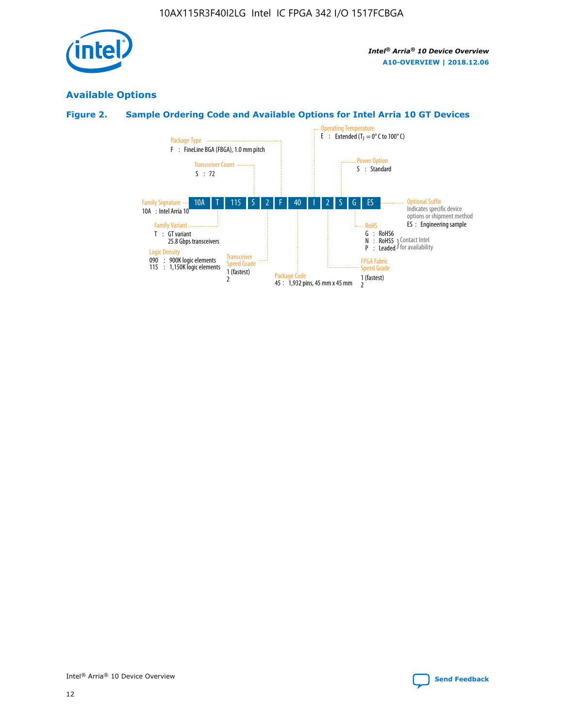

# **Available Options**

# **Figure 2. Sample Ordering Code and Available Options for Intel Arria 10 GT Devices**

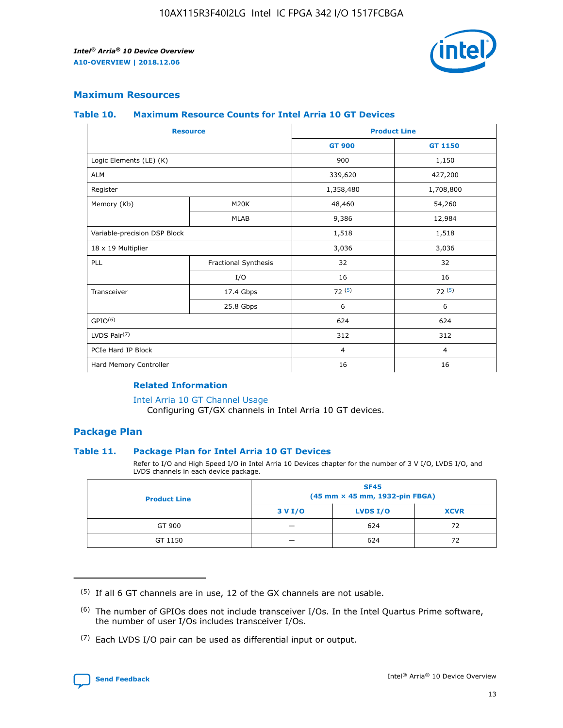

## **Maximum Resources**

#### **Table 10. Maximum Resource Counts for Intel Arria 10 GT Devices**

|                              | <b>Resource</b>      |                                                                                                                |                |  |
|------------------------------|----------------------|----------------------------------------------------------------------------------------------------------------|----------------|--|
|                              |                      | <b>GT 900</b>                                                                                                  | GT 1150        |  |
| Logic Elements (LE) (K)      |                      | 900                                                                                                            | 1,150          |  |
| <b>ALM</b>                   |                      | 339,620                                                                                                        | 427,200        |  |
| Register                     |                      | 1,358,480                                                                                                      | 1,708,800      |  |
| Memory (Kb)                  | M20K                 | 48,460                                                                                                         | 54,260         |  |
|                              | <b>MLAB</b>          | <b>Product Line</b><br>9,386<br>1,518<br>3,036<br>32<br>16<br>72(5)<br>6<br>624<br>312<br>$\overline{4}$<br>16 | 12,984         |  |
| Variable-precision DSP Block |                      |                                                                                                                | 1,518          |  |
| 18 x 19 Multiplier           |                      |                                                                                                                | 3,036          |  |
| PLL                          | Fractional Synthesis |                                                                                                                | 32             |  |
|                              | I/O                  |                                                                                                                | 16             |  |
| Transceiver                  | 17.4 Gbps            |                                                                                                                | 72(5)          |  |
|                              | 25.8 Gbps            |                                                                                                                | 6              |  |
| GPIO <sup>(6)</sup>          |                      |                                                                                                                | 624            |  |
| LVDS Pair $(7)$              |                      |                                                                                                                | 312            |  |
| PCIe Hard IP Block           |                      |                                                                                                                | $\overline{4}$ |  |
| Hard Memory Controller       |                      |                                                                                                                | 16             |  |

### **Related Information**

#### [Intel Arria 10 GT Channel Usage](https://www.intel.com/content/www/us/en/programmable/documentation/nik1398707230472.html#nik1398707008178)

Configuring GT/GX channels in Intel Arria 10 GT devices.

## **Package Plan**

### **Table 11. Package Plan for Intel Arria 10 GT Devices**

Refer to I/O and High Speed I/O in Intel Arria 10 Devices chapter for the number of 3 V I/O, LVDS I/O, and LVDS channels in each device package.

| <b>Product Line</b> | <b>SF45</b><br>(45 mm × 45 mm, 1932-pin FBGA) |                 |             |  |  |  |
|---------------------|-----------------------------------------------|-----------------|-------------|--|--|--|
|                     | 3 V I/O                                       | <b>LVDS I/O</b> | <b>XCVR</b> |  |  |  |
| GT 900              |                                               | 624             | 72          |  |  |  |
| GT 1150             |                                               | 624             | 72          |  |  |  |

<sup>(7)</sup> Each LVDS I/O pair can be used as differential input or output.



 $(5)$  If all 6 GT channels are in use, 12 of the GX channels are not usable.

<sup>(6)</sup> The number of GPIOs does not include transceiver I/Os. In the Intel Quartus Prime software, the number of user I/Os includes transceiver I/Os.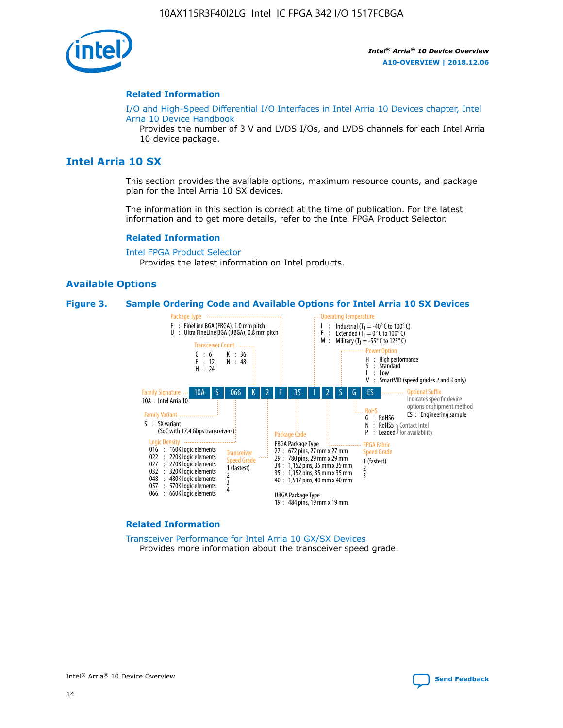

#### **Related Information**

[I/O and High-Speed Differential I/O Interfaces in Intel Arria 10 Devices chapter, Intel](https://www.intel.com/content/www/us/en/programmable/documentation/sam1403482614086.html#sam1403482030321) [Arria 10 Device Handbook](https://www.intel.com/content/www/us/en/programmable/documentation/sam1403482614086.html#sam1403482030321)

Provides the number of 3 V and LVDS I/Os, and LVDS channels for each Intel Arria 10 device package.

# **Intel Arria 10 SX**

This section provides the available options, maximum resource counts, and package plan for the Intel Arria 10 SX devices.

The information in this section is correct at the time of publication. For the latest information and to get more details, refer to the Intel FPGA Product Selector.

#### **Related Information**

[Intel FPGA Product Selector](http://www.altera.com/products/selector/psg-selector.html) Provides the latest information on Intel products.

#### **Available Options**

#### **Figure 3. Sample Ordering Code and Available Options for Intel Arria 10 SX Devices**



#### **Related Information**

[Transceiver Performance for Intel Arria 10 GX/SX Devices](https://www.intel.com/content/www/us/en/programmable/documentation/mcn1413182292568.html#mcn1413213965502) Provides more information about the transceiver speed grade.

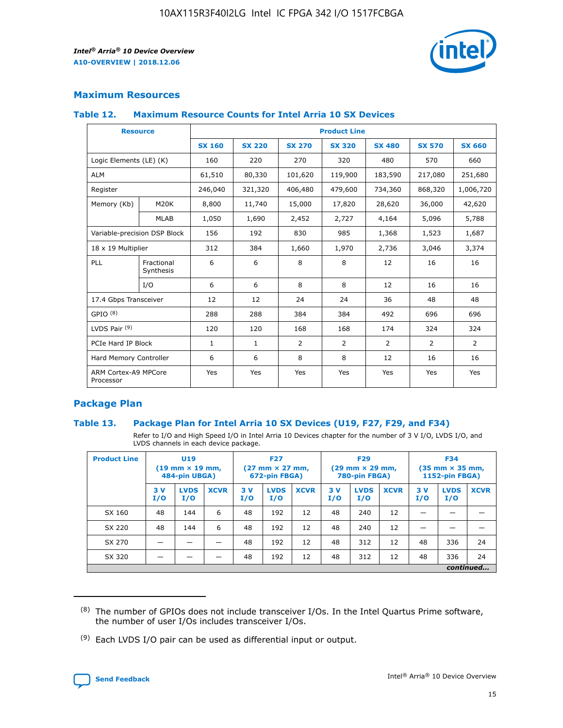

# **Maximum Resources**

### **Table 12. Maximum Resource Counts for Intel Arria 10 SX Devices**

| <b>Resource</b>                   |                         | <b>Product Line</b> |               |               |                |               |               |               |  |  |  |
|-----------------------------------|-------------------------|---------------------|---------------|---------------|----------------|---------------|---------------|---------------|--|--|--|
|                                   |                         | <b>SX 160</b>       | <b>SX 220</b> | <b>SX 270</b> | <b>SX 320</b>  | <b>SX 480</b> | <b>SX 570</b> | <b>SX 660</b> |  |  |  |
| Logic Elements (LE) (K)           |                         | 160                 | 220           | 270           | 320            | 480           | 570           | 660           |  |  |  |
| <b>ALM</b>                        |                         | 61,510              | 80,330        | 101,620       | 119,900        | 183,590       | 217,080       | 251,680       |  |  |  |
| Register                          |                         | 246,040             | 321,320       | 406,480       | 479,600        | 734,360       | 868,320       | 1,006,720     |  |  |  |
| Memory (Kb)                       | M20K                    | 8,800               | 11,740        | 15,000        | 17,820         | 28,620        | 36,000        | 42,620        |  |  |  |
|                                   | <b>MLAB</b>             | 1,050               | 1,690         | 2,452         | 2,727          | 4,164         | 5,096         | 5,788         |  |  |  |
| Variable-precision DSP Block      |                         | 156                 | 192           | 830           | 985            | 1,368         | 1,523         | 1,687         |  |  |  |
| 18 x 19 Multiplier                |                         | 312                 | 384           | 1,660         | 1,970          | 2,736         | 3,046         | 3,374         |  |  |  |
| PLL                               | Fractional<br>Synthesis | 6                   | 6             | 8             | 8              | 12            | 16            | 16            |  |  |  |
|                                   | I/O                     | 6                   | 6             | 8             | 8              | 12            | 16            | 16            |  |  |  |
| 17.4 Gbps Transceiver             |                         | 12                  | 12            | 24            | 24             | 36            | 48            | 48            |  |  |  |
| GPIO <sup>(8)</sup>               |                         | 288                 | 288           | 384           | 384            | 492           | 696           | 696           |  |  |  |
| LVDS Pair $(9)$                   |                         | 120                 | 120           | 168           | 168            | 174           | 324           | 324           |  |  |  |
|                                   | PCIe Hard IP Block      |                     | $\mathbf{1}$  | 2             | $\overline{2}$ | 2             | 2             | 2             |  |  |  |
| Hard Memory Controller            |                         | 6                   | 6             | 8             | 8              | 12            | 16            | 16            |  |  |  |
| ARM Cortex-A9 MPCore<br>Processor |                         | Yes                 | Yes           | Yes           | Yes            | Yes           | Yes           | Yes           |  |  |  |

# **Package Plan**

### **Table 13. Package Plan for Intel Arria 10 SX Devices (U19, F27, F29, and F34)**

Refer to I/O and High Speed I/O in Intel Arria 10 Devices chapter for the number of 3 V I/O, LVDS I/O, and LVDS channels in each device package.

| <b>Product Line</b> | U19<br>$(19 \text{ mm} \times 19 \text{ mm})$<br>484-pin UBGA) |                    | <b>F27</b><br>$(27 \text{ mm} \times 27 \text{ mm})$<br>672-pin FBGA) |           | <b>F29</b><br>$(29 \text{ mm} \times 29 \text{ mm})$<br>780-pin FBGA) |             |            | <b>F34</b><br>$(35 \text{ mm} \times 35 \text{ mm})$<br><b>1152-pin FBGA)</b> |             |           |                    |             |
|---------------------|----------------------------------------------------------------|--------------------|-----------------------------------------------------------------------|-----------|-----------------------------------------------------------------------|-------------|------------|-------------------------------------------------------------------------------|-------------|-----------|--------------------|-------------|
|                     | 3V<br>I/O                                                      | <b>LVDS</b><br>I/O | <b>XCVR</b>                                                           | 3V<br>I/O | <b>LVDS</b><br>I/O                                                    | <b>XCVR</b> | 3 V<br>I/O | <b>LVDS</b><br>I/O                                                            | <b>XCVR</b> | 3V<br>I/O | <b>LVDS</b><br>I/O | <b>XCVR</b> |
| SX 160              | 48                                                             | 144                | 6                                                                     | 48        | 192                                                                   | 12          | 48         | 240                                                                           | 12          | –         |                    |             |
| SX 220              | 48                                                             | 144                | 6                                                                     | 48        | 192                                                                   | 12          | 48         | 240                                                                           | 12          |           |                    |             |
| SX 270              |                                                                |                    |                                                                       | 48        | 192                                                                   | 12          | 48         | 312                                                                           | 12          | 48        | 336                | 24          |
| SX 320              |                                                                |                    |                                                                       | 48        | 192                                                                   | 12          | 48         | 312                                                                           | 12          | 48        | 336                | 24          |
|                     | continued                                                      |                    |                                                                       |           |                                                                       |             |            |                                                                               |             |           |                    |             |

 $(8)$  The number of GPIOs does not include transceiver I/Os. In the Intel Quartus Prime software, the number of user I/Os includes transceiver I/Os.

 $(9)$  Each LVDS I/O pair can be used as differential input or output.

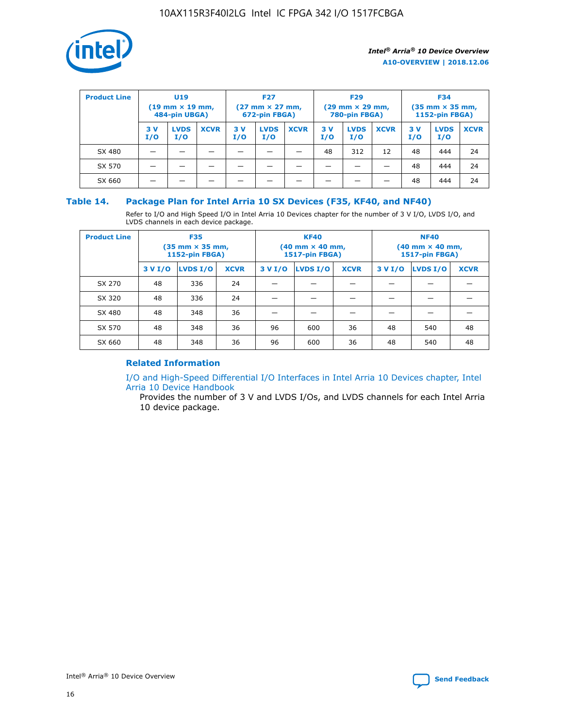

| <b>Product Line</b> | U <sub>19</sub><br>$(19 \text{ mm} \times 19 \text{ mm})$<br>484-pin UBGA) |                    | <b>F27</b><br>$(27 \text{ mm} \times 27 \text{ mm})$<br>672-pin FBGA) |            | <b>F29</b><br>$(29 \text{ mm} \times 29 \text{ mm})$<br>780-pin FBGA) |             |           | <b>F34</b><br>$(35$ mm $\times$ 35 mm,<br><b>1152-pin FBGA)</b> |             |           |                    |             |
|---------------------|----------------------------------------------------------------------------|--------------------|-----------------------------------------------------------------------|------------|-----------------------------------------------------------------------|-------------|-----------|-----------------------------------------------------------------|-------------|-----------|--------------------|-------------|
|                     | 3V<br>I/O                                                                  | <b>LVDS</b><br>I/O | <b>XCVR</b>                                                           | 3 V<br>I/O | <b>LVDS</b><br>I/O                                                    | <b>XCVR</b> | 3V<br>I/O | <b>LVDS</b><br>I/O                                              | <b>XCVR</b> | 3V<br>I/O | <b>LVDS</b><br>I/O | <b>XCVR</b> |
| SX 480              |                                                                            |                    |                                                                       |            |                                                                       |             | 48        | 312                                                             | 12          | 48        | 444                | 24          |
| SX 570              |                                                                            |                    |                                                                       |            |                                                                       |             |           |                                                                 |             | 48        | 444                | 24          |
| SX 660              |                                                                            |                    |                                                                       |            |                                                                       |             |           |                                                                 |             | 48        | 444                | 24          |

## **Table 14. Package Plan for Intel Arria 10 SX Devices (F35, KF40, and NF40)**

Refer to I/O and High Speed I/O in Intel Arria 10 Devices chapter for the number of 3 V I/O, LVDS I/O, and LVDS channels in each device package.

| <b>Product Line</b> | <b>F35</b><br>$(35 \text{ mm} \times 35 \text{ mm})$<br><b>1152-pin FBGA)</b> |          |             |                                           | <b>KF40</b><br>(40 mm × 40 mm,<br>1517-pin FBGA) |    | <b>NF40</b><br>$(40 \text{ mm} \times 40 \text{ mm})$<br>1517-pin FBGA) |          |             |  |
|---------------------|-------------------------------------------------------------------------------|----------|-------------|-------------------------------------------|--------------------------------------------------|----|-------------------------------------------------------------------------|----------|-------------|--|
|                     | 3 V I/O                                                                       | LVDS I/O | <b>XCVR</b> | <b>LVDS I/O</b><br><b>XCVR</b><br>3 V I/O |                                                  |    | 3 V I/O                                                                 | LVDS I/O | <b>XCVR</b> |  |
| SX 270              | 48                                                                            | 336      | 24          |                                           |                                                  |    |                                                                         |          |             |  |
| SX 320              | 48                                                                            | 336      | 24          |                                           |                                                  |    |                                                                         |          |             |  |
| SX 480              | 48                                                                            | 348      | 36          |                                           |                                                  |    |                                                                         |          |             |  |
| SX 570              | 48                                                                            | 348      | 36          | 96                                        | 600                                              | 36 | 48                                                                      | 540      | 48          |  |
| SX 660              | 48                                                                            | 348      | 36          | 96                                        | 600                                              | 36 | 48                                                                      | 540      | 48          |  |

# **Related Information**

[I/O and High-Speed Differential I/O Interfaces in Intel Arria 10 Devices chapter, Intel](https://www.intel.com/content/www/us/en/programmable/documentation/sam1403482614086.html#sam1403482030321) [Arria 10 Device Handbook](https://www.intel.com/content/www/us/en/programmable/documentation/sam1403482614086.html#sam1403482030321)

Provides the number of 3 V and LVDS I/Os, and LVDS channels for each Intel Arria 10 device package.

Intel<sup>®</sup> Arria<sup>®</sup> 10 Device Overview **[Send Feedback](mailto:FPGAtechdocfeedback@intel.com?subject=Feedback%20on%20Intel%20Arria%2010%20Device%20Overview%20(A10-OVERVIEW%202018.12.06)&body=We%20appreciate%20your%20feedback.%20In%20your%20comments,%20also%20specify%20the%20page%20number%20or%20paragraph.%20Thank%20you.)** Send Feedback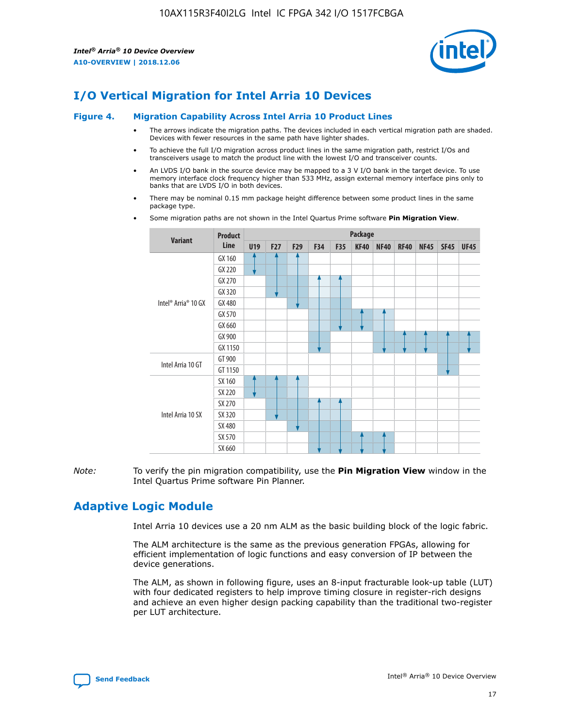

# **I/O Vertical Migration for Intel Arria 10 Devices**

#### **Figure 4. Migration Capability Across Intel Arria 10 Product Lines**

- The arrows indicate the migration paths. The devices included in each vertical migration path are shaded. Devices with fewer resources in the same path have lighter shades.
- To achieve the full I/O migration across product lines in the same migration path, restrict I/Os and transceivers usage to match the product line with the lowest I/O and transceiver counts.
- An LVDS I/O bank in the source device may be mapped to a 3 V I/O bank in the target device. To use memory interface clock frequency higher than 533 MHz, assign external memory interface pins only to banks that are LVDS I/O in both devices.
- There may be nominal 0.15 mm package height difference between some product lines in the same package type.
	- **Variant Product Line Package U19 F27 F29 F34 F35 KF40 NF40 RF40 NF45 SF45 UF45** Intel® Arria® 10 GX GX 160 GX 220 GX 270 GX 320 GX 480 GX 570 GX 660 GX 900 GX 1150 Intel Arria 10 GT GT 900 GT 1150 Intel Arria 10 SX SX 160 SX 220 SX 270 SX 320 SX 480 SX 570 SX 660
- Some migration paths are not shown in the Intel Quartus Prime software **Pin Migration View**.

*Note:* To verify the pin migration compatibility, use the **Pin Migration View** window in the Intel Quartus Prime software Pin Planner.

# **Adaptive Logic Module**

Intel Arria 10 devices use a 20 nm ALM as the basic building block of the logic fabric.

The ALM architecture is the same as the previous generation FPGAs, allowing for efficient implementation of logic functions and easy conversion of IP between the device generations.

The ALM, as shown in following figure, uses an 8-input fracturable look-up table (LUT) with four dedicated registers to help improve timing closure in register-rich designs and achieve an even higher design packing capability than the traditional two-register per LUT architecture.

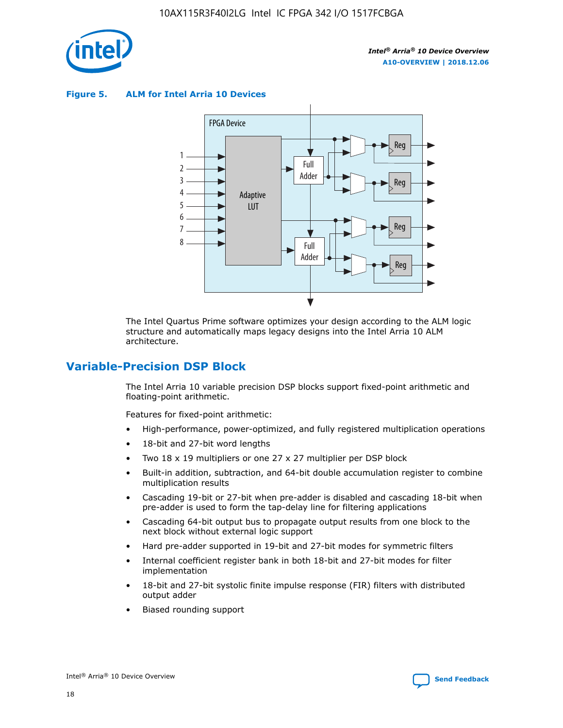

**Figure 5. ALM for Intel Arria 10 Devices**



The Intel Quartus Prime software optimizes your design according to the ALM logic structure and automatically maps legacy designs into the Intel Arria 10 ALM architecture.

# **Variable-Precision DSP Block**

The Intel Arria 10 variable precision DSP blocks support fixed-point arithmetic and floating-point arithmetic.

Features for fixed-point arithmetic:

- High-performance, power-optimized, and fully registered multiplication operations
- 18-bit and 27-bit word lengths
- Two 18 x 19 multipliers or one 27 x 27 multiplier per DSP block
- Built-in addition, subtraction, and 64-bit double accumulation register to combine multiplication results
- Cascading 19-bit or 27-bit when pre-adder is disabled and cascading 18-bit when pre-adder is used to form the tap-delay line for filtering applications
- Cascading 64-bit output bus to propagate output results from one block to the next block without external logic support
- Hard pre-adder supported in 19-bit and 27-bit modes for symmetric filters
- Internal coefficient register bank in both 18-bit and 27-bit modes for filter implementation
- 18-bit and 27-bit systolic finite impulse response (FIR) filters with distributed output adder
- Biased rounding support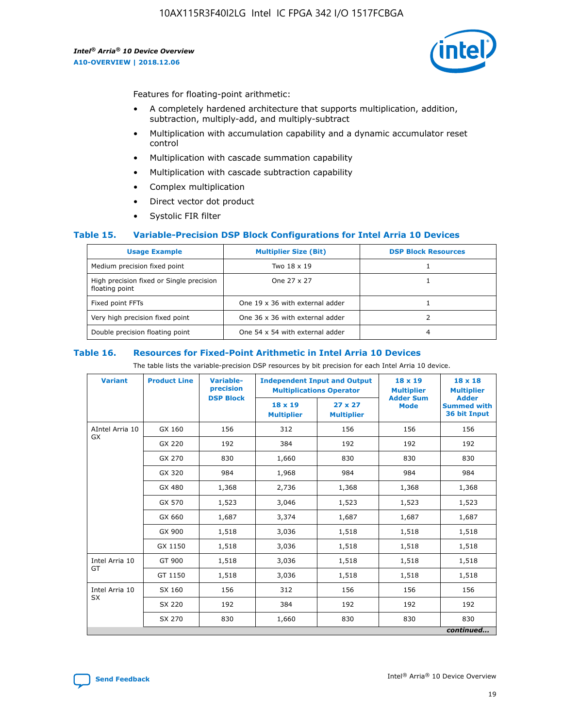

Features for floating-point arithmetic:

- A completely hardened architecture that supports multiplication, addition, subtraction, multiply-add, and multiply-subtract
- Multiplication with accumulation capability and a dynamic accumulator reset control
- Multiplication with cascade summation capability
- Multiplication with cascade subtraction capability
- Complex multiplication
- Direct vector dot product
- Systolic FIR filter

### **Table 15. Variable-Precision DSP Block Configurations for Intel Arria 10 Devices**

| <b>Usage Example</b>                                       | <b>Multiplier Size (Bit)</b>    | <b>DSP Block Resources</b> |
|------------------------------------------------------------|---------------------------------|----------------------------|
| Medium precision fixed point                               | Two 18 x 19                     |                            |
| High precision fixed or Single precision<br>floating point | One 27 x 27                     |                            |
| Fixed point FFTs                                           | One 19 x 36 with external adder |                            |
| Very high precision fixed point                            | One 36 x 36 with external adder |                            |
| Double precision floating point                            | One 54 x 54 with external adder | 4                          |

#### **Table 16. Resources for Fixed-Point Arithmetic in Intel Arria 10 Devices**

The table lists the variable-precision DSP resources by bit precision for each Intel Arria 10 device.

| <b>Variant</b>  | <b>Product Line</b> | Variable-<br>precision | <b>Independent Input and Output</b><br><b>Multiplications Operator</b> |                                     | $18 \times 19$<br><b>Multiplier</b><br><b>Adder Sum</b> | $18 \times 18$<br><b>Multiplier</b>                |
|-----------------|---------------------|------------------------|------------------------------------------------------------------------|-------------------------------------|---------------------------------------------------------|----------------------------------------------------|
|                 |                     | <b>DSP Block</b>       | 18 x 19<br><b>Multiplier</b>                                           | $27 \times 27$<br><b>Multiplier</b> | <b>Mode</b>                                             | <b>Adder</b><br><b>Summed with</b><br>36 bit Input |
| AIntel Arria 10 | GX 160              | 156                    | 312                                                                    | 156                                 | 156                                                     | 156                                                |
| GX              | GX 220              | 192                    | 384                                                                    | 192                                 | 192                                                     | 192                                                |
|                 | GX 270              | 830                    | 1,660                                                                  | 830                                 | 830                                                     | 830                                                |
|                 | GX 320              | 984                    | 1,968                                                                  | 984                                 | 984                                                     | 984                                                |
|                 | GX 480              | 1,368                  | 2,736                                                                  | 1,368                               | 1,368                                                   | 1,368                                              |
|                 | GX 570              | 1,523                  | 3,046                                                                  | 1,523                               | 1,523                                                   | 1,523                                              |
|                 | GX 660              | 1,687                  | 3,374                                                                  | 1,687                               | 1,687                                                   | 1,687                                              |
|                 | GX 900              | 1,518                  | 3,036                                                                  | 1,518                               | 1,518                                                   | 1,518                                              |
|                 | GX 1150             | 1,518                  | 3,036                                                                  | 1,518                               | 1,518                                                   | 1,518                                              |
| Intel Arria 10  | GT 900              | 1,518                  | 3,036                                                                  | 1,518                               | 1,518                                                   | 1,518                                              |
| GT              | GT 1150             | 1,518                  | 3,036                                                                  | 1,518                               | 1,518                                                   | 1,518                                              |
| Intel Arria 10  | SX 160              | 156                    | 312                                                                    | 156                                 | 156                                                     | 156                                                |
| <b>SX</b>       | SX 220              | 192                    | 384                                                                    | 192                                 | 192                                                     | 192                                                |
|                 | SX 270              | 830                    | 1,660                                                                  | 830                                 | 830                                                     | 830                                                |
|                 |                     |                        |                                                                        |                                     |                                                         | continued                                          |

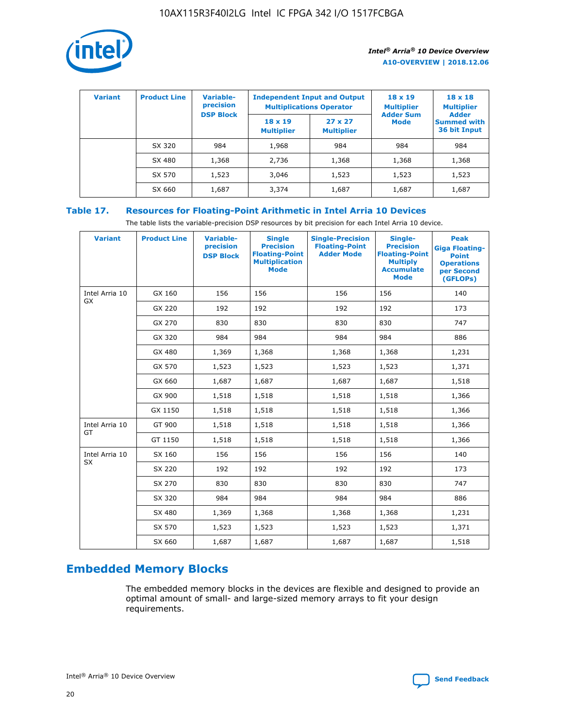

| <b>Variant</b> | <b>Product Line</b> | <b>Variable-</b><br>precision |                                     | <b>Independent Input and Output</b><br><b>Multiplications Operator</b> | $18 \times 19$<br><b>Multiplier</b> | $18 \times 18$<br><b>Multiplier</b>                |
|----------------|---------------------|-------------------------------|-------------------------------------|------------------------------------------------------------------------|-------------------------------------|----------------------------------------------------|
|                |                     | <b>DSP Block</b>              | $18 \times 19$<br><b>Multiplier</b> | $27 \times 27$<br><b>Multiplier</b>                                    | <b>Adder Sum</b><br><b>Mode</b>     | <b>Adder</b><br><b>Summed with</b><br>36 bit Input |
|                | SX 320              | 984                           | 1,968                               | 984                                                                    | 984                                 | 984                                                |
|                | SX 480              | 1,368                         | 2,736                               | 1,368                                                                  | 1,368                               | 1,368                                              |
|                | SX 570              | 1,523                         | 3,046                               | 1,523                                                                  | 1,523                               | 1,523                                              |
|                | SX 660              | 1,687                         | 3,374                               | 1,687                                                                  | 1,687                               | 1,687                                              |

# **Table 17. Resources for Floating-Point Arithmetic in Intel Arria 10 Devices**

The table lists the variable-precision DSP resources by bit precision for each Intel Arria 10 device.

| <b>Variant</b> | <b>Product Line</b> | <b>Variable-</b><br>precision<br><b>DSP Block</b> | <b>Single</b><br><b>Precision</b><br><b>Floating-Point</b><br><b>Multiplication</b><br><b>Mode</b> | <b>Single-Precision</b><br><b>Floating-Point</b><br><b>Adder Mode</b> | Single-<br><b>Precision</b><br><b>Floating-Point</b><br><b>Multiply</b><br><b>Accumulate</b><br><b>Mode</b> | <b>Peak</b><br><b>Giga Floating-</b><br><b>Point</b><br><b>Operations</b><br>per Second<br>(GFLOPs) |
|----------------|---------------------|---------------------------------------------------|----------------------------------------------------------------------------------------------------|-----------------------------------------------------------------------|-------------------------------------------------------------------------------------------------------------|-----------------------------------------------------------------------------------------------------|
| Intel Arria 10 | GX 160              | 156                                               | 156                                                                                                | 156                                                                   | 156                                                                                                         | 140                                                                                                 |
| GX             | GX 220              | 192                                               | 192                                                                                                | 192                                                                   | 192                                                                                                         | 173                                                                                                 |
|                | GX 270              | 830                                               | 830                                                                                                | 830                                                                   | 830                                                                                                         | 747                                                                                                 |
|                | GX 320              | 984                                               | 984                                                                                                | 984                                                                   | 984                                                                                                         | 886                                                                                                 |
|                | GX 480              | 1,369                                             | 1,368                                                                                              | 1,368                                                                 | 1,368                                                                                                       | 1,231                                                                                               |
|                | GX 570              | 1,523                                             | 1,523                                                                                              | 1,523                                                                 | 1,523                                                                                                       | 1,371                                                                                               |
|                | GX 660              | 1,687                                             | 1,687                                                                                              | 1,687                                                                 | 1,687                                                                                                       | 1,518                                                                                               |
|                | GX 900              | 1,518                                             | 1,518                                                                                              | 1,518                                                                 | 1,518                                                                                                       | 1,366                                                                                               |
|                | GX 1150             | 1,518                                             | 1,518                                                                                              | 1,518                                                                 | 1,518                                                                                                       | 1,366                                                                                               |
| Intel Arria 10 | GT 900              | 1,518                                             | 1,518                                                                                              | 1,518                                                                 | 1,518                                                                                                       | 1,366                                                                                               |
| GT             | GT 1150             | 1,518                                             | 1,518                                                                                              | 1,518                                                                 | 1,518                                                                                                       | 1,366                                                                                               |
| Intel Arria 10 | SX 160              | 156                                               | 156                                                                                                | 156                                                                   | 156                                                                                                         | 140                                                                                                 |
| <b>SX</b>      | SX 220              | 192                                               | 192                                                                                                | 192                                                                   | 192                                                                                                         | 173                                                                                                 |
|                | SX 270              | 830                                               | 830                                                                                                | 830                                                                   | 830                                                                                                         | 747                                                                                                 |
|                | SX 320              | 984                                               | 984                                                                                                | 984                                                                   | 984                                                                                                         | 886                                                                                                 |
|                | SX 480              | 1,369                                             | 1,368                                                                                              | 1,368                                                                 | 1,368                                                                                                       | 1,231                                                                                               |
|                | SX 570              | 1,523                                             | 1,523                                                                                              | 1,523                                                                 | 1,523                                                                                                       | 1,371                                                                                               |
|                | SX 660              | 1,687                                             | 1,687                                                                                              | 1,687                                                                 | 1,687                                                                                                       | 1,518                                                                                               |

# **Embedded Memory Blocks**

The embedded memory blocks in the devices are flexible and designed to provide an optimal amount of small- and large-sized memory arrays to fit your design requirements.

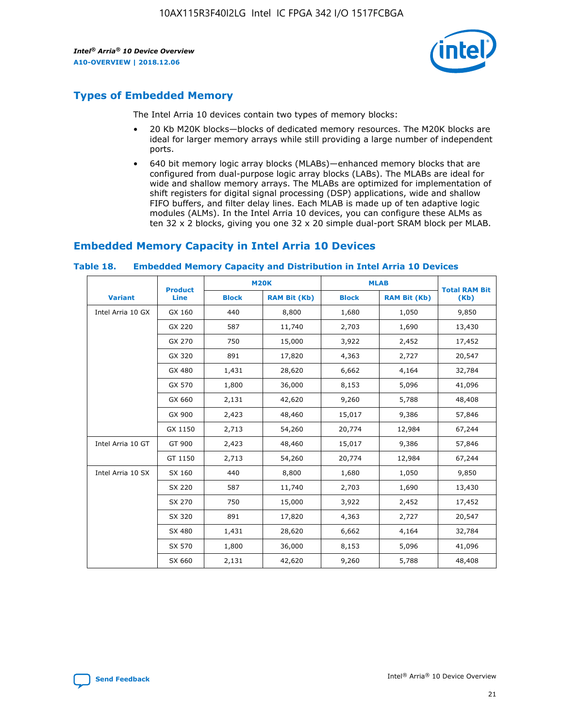

# **Types of Embedded Memory**

The Intel Arria 10 devices contain two types of memory blocks:

- 20 Kb M20K blocks—blocks of dedicated memory resources. The M20K blocks are ideal for larger memory arrays while still providing a large number of independent ports.
- 640 bit memory logic array blocks (MLABs)—enhanced memory blocks that are configured from dual-purpose logic array blocks (LABs). The MLABs are ideal for wide and shallow memory arrays. The MLABs are optimized for implementation of shift registers for digital signal processing (DSP) applications, wide and shallow FIFO buffers, and filter delay lines. Each MLAB is made up of ten adaptive logic modules (ALMs). In the Intel Arria 10 devices, you can configure these ALMs as ten 32 x 2 blocks, giving you one 32 x 20 simple dual-port SRAM block per MLAB.

# **Embedded Memory Capacity in Intel Arria 10 Devices**

|                   | <b>Product</b> |              | <b>M20K</b>         | <b>MLAB</b>  |                     | <b>Total RAM Bit</b> |
|-------------------|----------------|--------------|---------------------|--------------|---------------------|----------------------|
| <b>Variant</b>    | Line           | <b>Block</b> | <b>RAM Bit (Kb)</b> | <b>Block</b> | <b>RAM Bit (Kb)</b> | (Kb)                 |
| Intel Arria 10 GX | GX 160         | 440          | 8,800               | 1,680        | 1,050               | 9,850                |
|                   | GX 220         | 587          | 11,740              | 2,703        | 1,690               | 13,430               |
|                   | GX 270         | 750          | 15,000              | 3,922        | 2,452               | 17,452               |
|                   | GX 320         | 891          | 17,820              | 4,363        | 2,727               | 20,547               |
|                   | GX 480         | 1,431        | 28,620              | 6,662        | 4,164               | 32,784               |
|                   | GX 570         | 1,800        | 36,000              | 8,153        | 5,096               | 41,096               |
|                   | GX 660         | 2,131        | 42,620              | 9,260        | 5,788               | 48,408               |
|                   | GX 900         | 2,423        | 48,460              | 15,017       | 9,386               | 57,846               |
|                   | GX 1150        | 2,713        | 54,260              | 20,774       | 12,984              | 67,244               |
| Intel Arria 10 GT | GT 900         | 2,423        | 48,460              | 15,017       | 9,386               | 57,846               |
|                   | GT 1150        | 2,713        | 54,260              | 20,774       | 12,984              | 67,244               |
| Intel Arria 10 SX | SX 160         | 440          | 8,800               | 1,680        | 1,050               | 9,850                |
|                   | SX 220         | 587          | 11,740              | 2,703        | 1,690               | 13,430               |
|                   | SX 270         | 750          | 15,000              | 3,922        | 2,452               | 17,452               |
|                   | SX 320         | 891          | 17,820              | 4,363        | 2,727               | 20,547               |
|                   | SX 480         | 1,431        | 28,620              | 6,662        | 4,164               | 32,784               |
|                   | SX 570         | 1,800        | 36,000              | 8,153        | 5,096               | 41,096               |
|                   | SX 660         | 2,131        | 42,620              | 9,260        | 5,788               | 48,408               |

#### **Table 18. Embedded Memory Capacity and Distribution in Intel Arria 10 Devices**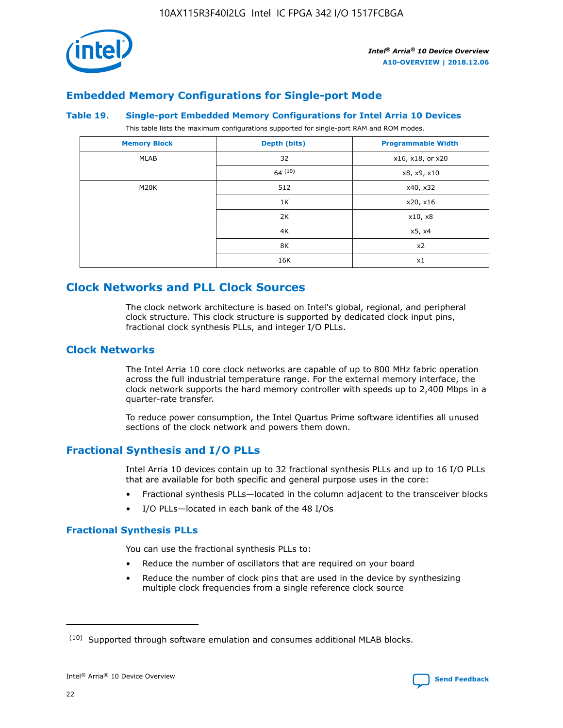

# **Embedded Memory Configurations for Single-port Mode**

#### **Table 19. Single-port Embedded Memory Configurations for Intel Arria 10 Devices**

This table lists the maximum configurations supported for single-port RAM and ROM modes.

| <b>Memory Block</b> | Depth (bits) | <b>Programmable Width</b> |
|---------------------|--------------|---------------------------|
| MLAB                | 32           | x16, x18, or x20          |
|                     | 64(10)       | x8, x9, x10               |
| M20K                | 512          | x40, x32                  |
|                     | 1K           | x20, x16                  |
|                     | 2K           | x10, x8                   |
|                     | 4K           | x5, x4                    |
|                     | 8K           | x2                        |
|                     | 16K          | x1                        |

# **Clock Networks and PLL Clock Sources**

The clock network architecture is based on Intel's global, regional, and peripheral clock structure. This clock structure is supported by dedicated clock input pins, fractional clock synthesis PLLs, and integer I/O PLLs.

# **Clock Networks**

The Intel Arria 10 core clock networks are capable of up to 800 MHz fabric operation across the full industrial temperature range. For the external memory interface, the clock network supports the hard memory controller with speeds up to 2,400 Mbps in a quarter-rate transfer.

To reduce power consumption, the Intel Quartus Prime software identifies all unused sections of the clock network and powers them down.

# **Fractional Synthesis and I/O PLLs**

Intel Arria 10 devices contain up to 32 fractional synthesis PLLs and up to 16 I/O PLLs that are available for both specific and general purpose uses in the core:

- Fractional synthesis PLLs—located in the column adjacent to the transceiver blocks
- I/O PLLs—located in each bank of the 48 I/Os

# **Fractional Synthesis PLLs**

You can use the fractional synthesis PLLs to:

- Reduce the number of oscillators that are required on your board
- Reduce the number of clock pins that are used in the device by synthesizing multiple clock frequencies from a single reference clock source

<sup>(10)</sup> Supported through software emulation and consumes additional MLAB blocks.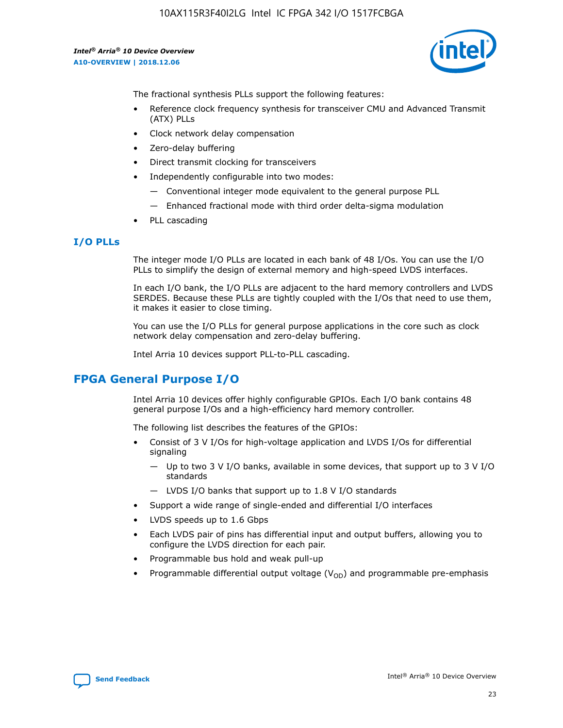

The fractional synthesis PLLs support the following features:

- Reference clock frequency synthesis for transceiver CMU and Advanced Transmit (ATX) PLLs
- Clock network delay compensation
- Zero-delay buffering
- Direct transmit clocking for transceivers
- Independently configurable into two modes:
	- Conventional integer mode equivalent to the general purpose PLL
	- Enhanced fractional mode with third order delta-sigma modulation
- PLL cascading

## **I/O PLLs**

The integer mode I/O PLLs are located in each bank of 48 I/Os. You can use the I/O PLLs to simplify the design of external memory and high-speed LVDS interfaces.

In each I/O bank, the I/O PLLs are adjacent to the hard memory controllers and LVDS SERDES. Because these PLLs are tightly coupled with the I/Os that need to use them, it makes it easier to close timing.

You can use the I/O PLLs for general purpose applications in the core such as clock network delay compensation and zero-delay buffering.

Intel Arria 10 devices support PLL-to-PLL cascading.

# **FPGA General Purpose I/O**

Intel Arria 10 devices offer highly configurable GPIOs. Each I/O bank contains 48 general purpose I/Os and a high-efficiency hard memory controller.

The following list describes the features of the GPIOs:

- Consist of 3 V I/Os for high-voltage application and LVDS I/Os for differential signaling
	- Up to two 3 V I/O banks, available in some devices, that support up to 3 V I/O standards
	- LVDS I/O banks that support up to 1.8 V I/O standards
- Support a wide range of single-ended and differential I/O interfaces
- LVDS speeds up to 1.6 Gbps
- Each LVDS pair of pins has differential input and output buffers, allowing you to configure the LVDS direction for each pair.
- Programmable bus hold and weak pull-up
- Programmable differential output voltage  $(V_{OD})$  and programmable pre-emphasis

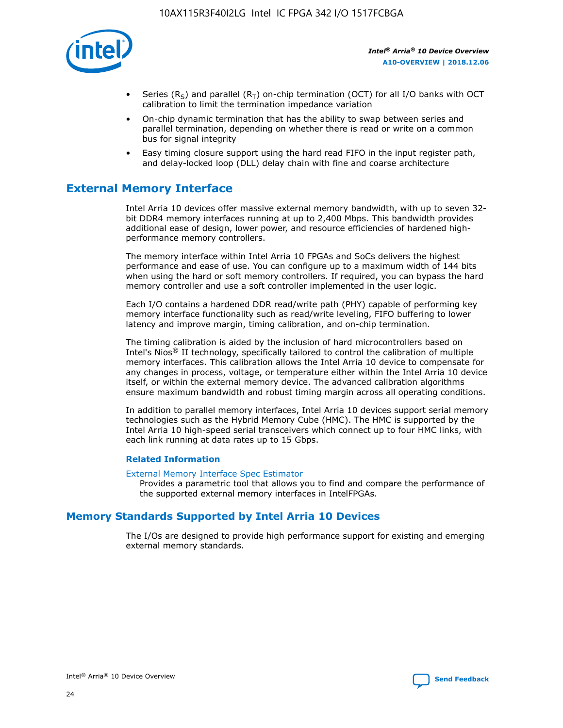

- Series (R<sub>S</sub>) and parallel (R<sub>T</sub>) on-chip termination (OCT) for all I/O banks with OCT calibration to limit the termination impedance variation
- On-chip dynamic termination that has the ability to swap between series and parallel termination, depending on whether there is read or write on a common bus for signal integrity
- Easy timing closure support using the hard read FIFO in the input register path, and delay-locked loop (DLL) delay chain with fine and coarse architecture

# **External Memory Interface**

Intel Arria 10 devices offer massive external memory bandwidth, with up to seven 32 bit DDR4 memory interfaces running at up to 2,400 Mbps. This bandwidth provides additional ease of design, lower power, and resource efficiencies of hardened highperformance memory controllers.

The memory interface within Intel Arria 10 FPGAs and SoCs delivers the highest performance and ease of use. You can configure up to a maximum width of 144 bits when using the hard or soft memory controllers. If required, you can bypass the hard memory controller and use a soft controller implemented in the user logic.

Each I/O contains a hardened DDR read/write path (PHY) capable of performing key memory interface functionality such as read/write leveling, FIFO buffering to lower latency and improve margin, timing calibration, and on-chip termination.

The timing calibration is aided by the inclusion of hard microcontrollers based on Intel's Nios® II technology, specifically tailored to control the calibration of multiple memory interfaces. This calibration allows the Intel Arria 10 device to compensate for any changes in process, voltage, or temperature either within the Intel Arria 10 device itself, or within the external memory device. The advanced calibration algorithms ensure maximum bandwidth and robust timing margin across all operating conditions.

In addition to parallel memory interfaces, Intel Arria 10 devices support serial memory technologies such as the Hybrid Memory Cube (HMC). The HMC is supported by the Intel Arria 10 high-speed serial transceivers which connect up to four HMC links, with each link running at data rates up to 15 Gbps.

### **Related Information**

#### [External Memory Interface Spec Estimator](http://www.altera.com/technology/memory/estimator/mem-emif-index.html)

Provides a parametric tool that allows you to find and compare the performance of the supported external memory interfaces in IntelFPGAs.

# **Memory Standards Supported by Intel Arria 10 Devices**

The I/Os are designed to provide high performance support for existing and emerging external memory standards.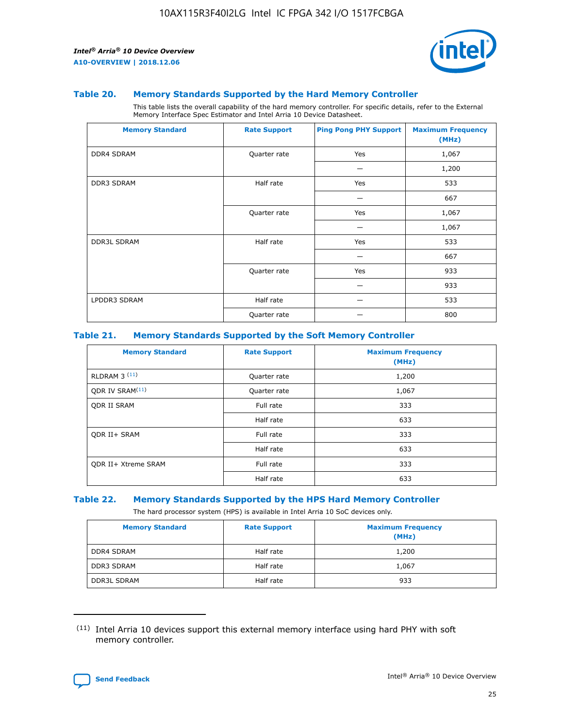

#### **Table 20. Memory Standards Supported by the Hard Memory Controller**

This table lists the overall capability of the hard memory controller. For specific details, refer to the External Memory Interface Spec Estimator and Intel Arria 10 Device Datasheet.

| <b>Memory Standard</b> | <b>Rate Support</b> | <b>Ping Pong PHY Support</b> | <b>Maximum Frequency</b><br>(MHz) |
|------------------------|---------------------|------------------------------|-----------------------------------|
| <b>DDR4 SDRAM</b>      | Quarter rate        | Yes                          | 1,067                             |
|                        |                     |                              | 1,200                             |
| DDR3 SDRAM             | Half rate           | Yes                          | 533                               |
|                        |                     |                              | 667                               |
|                        | Quarter rate        | Yes                          | 1,067                             |
|                        |                     |                              | 1,067                             |
| <b>DDR3L SDRAM</b>     | Half rate           | Yes                          | 533                               |
|                        |                     |                              | 667                               |
|                        | Quarter rate        | Yes                          | 933                               |
|                        |                     |                              | 933                               |
| LPDDR3 SDRAM           | Half rate           |                              | 533                               |
|                        | Quarter rate        |                              | 800                               |

#### **Table 21. Memory Standards Supported by the Soft Memory Controller**

| <b>Memory Standard</b>      | <b>Rate Support</b> | <b>Maximum Frequency</b><br>(MHz) |
|-----------------------------|---------------------|-----------------------------------|
| <b>RLDRAM 3 (11)</b>        | Quarter rate        | 1,200                             |
| ODR IV SRAM <sup>(11)</sup> | Quarter rate        | 1,067                             |
| <b>ODR II SRAM</b>          | Full rate           | 333                               |
|                             | Half rate           | 633                               |
| <b>ODR II+ SRAM</b>         | Full rate           | 333                               |
|                             | Half rate           | 633                               |
| <b>ODR II+ Xtreme SRAM</b>  | Full rate           | 333                               |
|                             | Half rate           | 633                               |

#### **Table 22. Memory Standards Supported by the HPS Hard Memory Controller**

The hard processor system (HPS) is available in Intel Arria 10 SoC devices only.

| <b>Memory Standard</b> | <b>Rate Support</b> | <b>Maximum Frequency</b><br>(MHz) |
|------------------------|---------------------|-----------------------------------|
| <b>DDR4 SDRAM</b>      | Half rate           | 1,200                             |
| <b>DDR3 SDRAM</b>      | Half rate           | 1,067                             |
| <b>DDR3L SDRAM</b>     | Half rate           | 933                               |

<sup>(11)</sup> Intel Arria 10 devices support this external memory interface using hard PHY with soft memory controller.

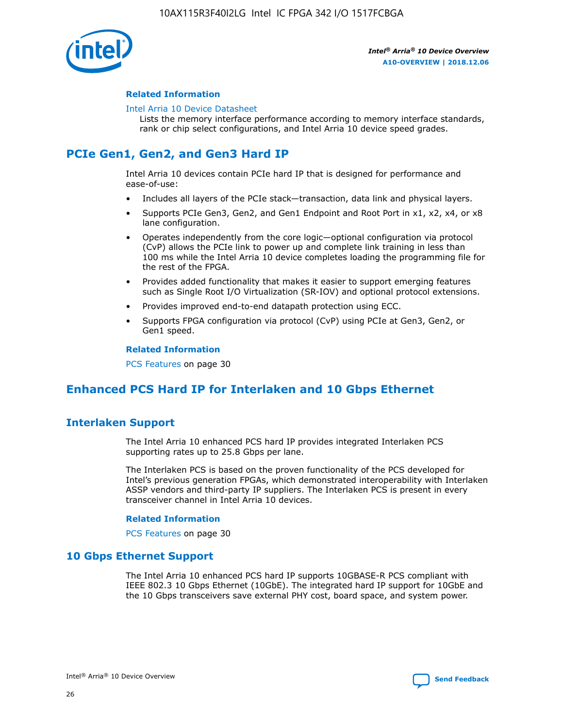

### **Related Information**

#### [Intel Arria 10 Device Datasheet](https://www.intel.com/content/www/us/en/programmable/documentation/mcn1413182292568.html#mcn1413182153340)

Lists the memory interface performance according to memory interface standards, rank or chip select configurations, and Intel Arria 10 device speed grades.

# **PCIe Gen1, Gen2, and Gen3 Hard IP**

Intel Arria 10 devices contain PCIe hard IP that is designed for performance and ease-of-use:

- Includes all layers of the PCIe stack—transaction, data link and physical layers.
- Supports PCIe Gen3, Gen2, and Gen1 Endpoint and Root Port in x1, x2, x4, or x8 lane configuration.
- Operates independently from the core logic—optional configuration via protocol (CvP) allows the PCIe link to power up and complete link training in less than 100 ms while the Intel Arria 10 device completes loading the programming file for the rest of the FPGA.
- Provides added functionality that makes it easier to support emerging features such as Single Root I/O Virtualization (SR-IOV) and optional protocol extensions.
- Provides improved end-to-end datapath protection using ECC.
- Supports FPGA configuration via protocol (CvP) using PCIe at Gen3, Gen2, or Gen1 speed.

#### **Related Information**

PCS Features on page 30

# **Enhanced PCS Hard IP for Interlaken and 10 Gbps Ethernet**

# **Interlaken Support**

The Intel Arria 10 enhanced PCS hard IP provides integrated Interlaken PCS supporting rates up to 25.8 Gbps per lane.

The Interlaken PCS is based on the proven functionality of the PCS developed for Intel's previous generation FPGAs, which demonstrated interoperability with Interlaken ASSP vendors and third-party IP suppliers. The Interlaken PCS is present in every transceiver channel in Intel Arria 10 devices.

### **Related Information**

PCS Features on page 30

# **10 Gbps Ethernet Support**

The Intel Arria 10 enhanced PCS hard IP supports 10GBASE-R PCS compliant with IEEE 802.3 10 Gbps Ethernet (10GbE). The integrated hard IP support for 10GbE and the 10 Gbps transceivers save external PHY cost, board space, and system power.

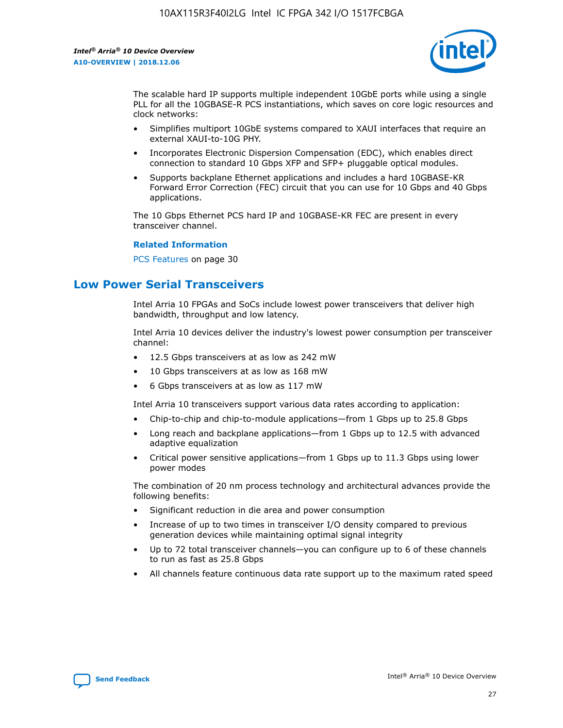

The scalable hard IP supports multiple independent 10GbE ports while using a single PLL for all the 10GBASE-R PCS instantiations, which saves on core logic resources and clock networks:

- Simplifies multiport 10GbE systems compared to XAUI interfaces that require an external XAUI-to-10G PHY.
- Incorporates Electronic Dispersion Compensation (EDC), which enables direct connection to standard 10 Gbps XFP and SFP+ pluggable optical modules.
- Supports backplane Ethernet applications and includes a hard 10GBASE-KR Forward Error Correction (FEC) circuit that you can use for 10 Gbps and 40 Gbps applications.

The 10 Gbps Ethernet PCS hard IP and 10GBASE-KR FEC are present in every transceiver channel.

#### **Related Information**

PCS Features on page 30

# **Low Power Serial Transceivers**

Intel Arria 10 FPGAs and SoCs include lowest power transceivers that deliver high bandwidth, throughput and low latency.

Intel Arria 10 devices deliver the industry's lowest power consumption per transceiver channel:

- 12.5 Gbps transceivers at as low as 242 mW
- 10 Gbps transceivers at as low as 168 mW
- 6 Gbps transceivers at as low as 117 mW

Intel Arria 10 transceivers support various data rates according to application:

- Chip-to-chip and chip-to-module applications—from 1 Gbps up to 25.8 Gbps
- Long reach and backplane applications—from 1 Gbps up to 12.5 with advanced adaptive equalization
- Critical power sensitive applications—from 1 Gbps up to 11.3 Gbps using lower power modes

The combination of 20 nm process technology and architectural advances provide the following benefits:

- Significant reduction in die area and power consumption
- Increase of up to two times in transceiver I/O density compared to previous generation devices while maintaining optimal signal integrity
- Up to 72 total transceiver channels—you can configure up to 6 of these channels to run as fast as 25.8 Gbps
- All channels feature continuous data rate support up to the maximum rated speed

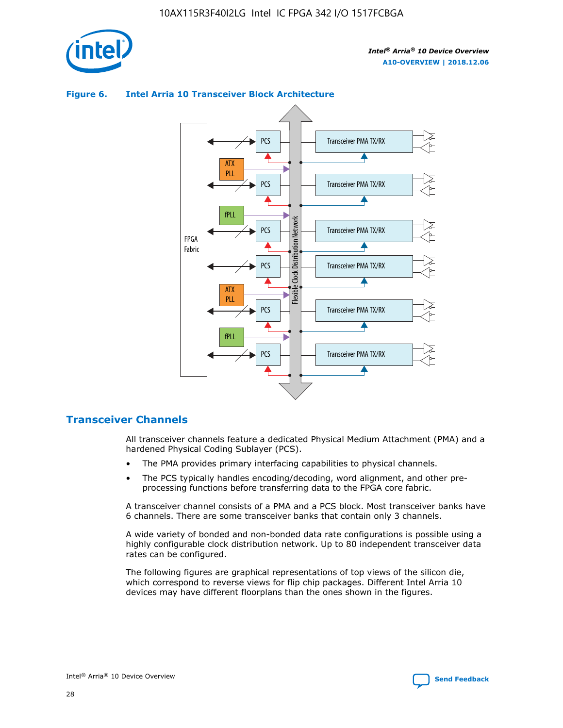

# Transceiver PMA TX/RX PCS ATX PLL Transceiver PMA TX/RX PCS fPLL Network Flexible Clock Distribution Network PCS Transceiver PMA TX/RX FPGA **Clock Distribution** Fabric PCS Transceiver PMA TX/RX ATX Flexible PLL PCS Transceiver PMA TX/RX ▲ fPLL Transceiver PMA TX/RX PCS 4

## **Figure 6. Intel Arria 10 Transceiver Block Architecture**

# **Transceiver Channels**

All transceiver channels feature a dedicated Physical Medium Attachment (PMA) and a hardened Physical Coding Sublayer (PCS).

- The PMA provides primary interfacing capabilities to physical channels.
- The PCS typically handles encoding/decoding, word alignment, and other preprocessing functions before transferring data to the FPGA core fabric.

A transceiver channel consists of a PMA and a PCS block. Most transceiver banks have 6 channels. There are some transceiver banks that contain only 3 channels.

A wide variety of bonded and non-bonded data rate configurations is possible using a highly configurable clock distribution network. Up to 80 independent transceiver data rates can be configured.

The following figures are graphical representations of top views of the silicon die, which correspond to reverse views for flip chip packages. Different Intel Arria 10 devices may have different floorplans than the ones shown in the figures.

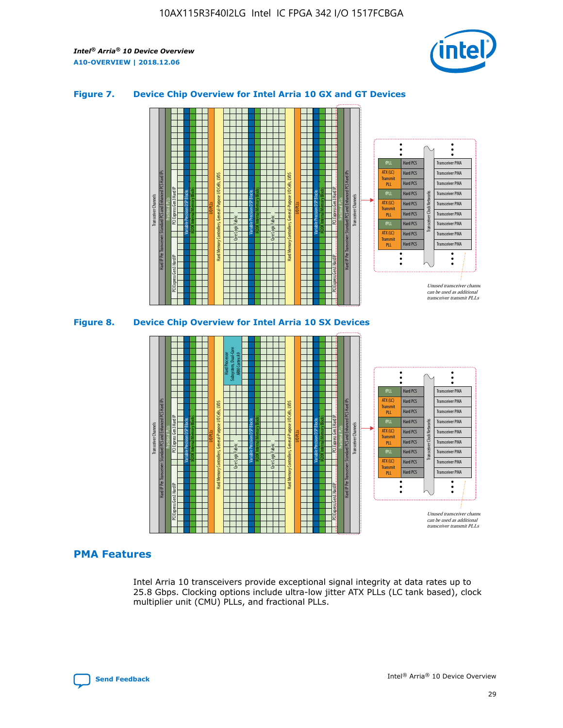

## **Figure 7. Device Chip Overview for Intel Arria 10 GX and GT Devices**



M20K Internal Memory Blocks Core Logic Fabric Transceiver Channels Hard IP Per Transceiver: Standard PCS and Enhanced PCS Hard IPs PCI Express Gen3 Hard IP Fractional PLLs M20K Internal Memory Blocks PCI Express Gen3 Hard IP Variable Precision DSP Blocks I/O PLLs Hard Memory Controllers, General-Purpose I/O Cells, LVDS Hard Processor Subsystem, Dual-Core ARM Cortex A9 M20K Internal Memory Blocks Variable Precision DSP Blocks M20K Internal Memory Blocks Core Logic Fabric I/O PLLs Hard Memory Controllers, General-Purpose I/O Cells, LVDS M20K Internal Memory Blocks Variable Precision DSP Blocks M20K Internal Memory Blocks Transceiver Channels Hard IP Per Transceiver: Standard PCS and Enhanced PCS Hard IPs PCI Express Gen3 Hard IP Fractional PLLs PCI Express Gen3 Hard IP  $\ddot{\cdot}$ Hard PCS Transceiver PMA fPLL ATX (LC) Hard PCS Transceiver PMA **Transmit** Hard PCS Transceiver PMA PLL fPLL Hard PCS Transceiver PMA Transceiver Clock Networks ATX (LC) Hard PCS Transceiver PMA Transmi Hard PCS Transceiver PMA PLL fPLL Hard PCS Transceiver PMA Transceiver PMA Hard PCS ATX (LC) **Transmit** Hard PCS Transceiver PMA PLL Unused transceiver chann can be used as additional transceiver transmit PLLs

### **PMA Features**

Intel Arria 10 transceivers provide exceptional signal integrity at data rates up to 25.8 Gbps. Clocking options include ultra-low jitter ATX PLLs (LC tank based), clock multiplier unit (CMU) PLLs, and fractional PLLs.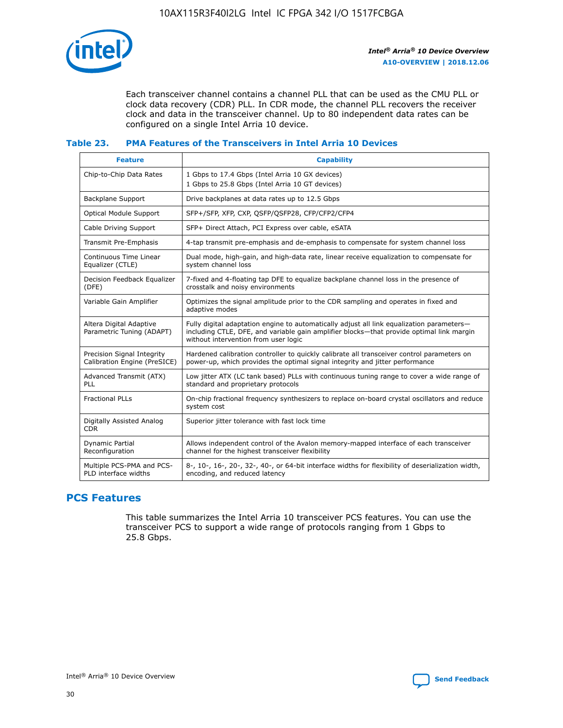

Each transceiver channel contains a channel PLL that can be used as the CMU PLL or clock data recovery (CDR) PLL. In CDR mode, the channel PLL recovers the receiver clock and data in the transceiver channel. Up to 80 independent data rates can be configured on a single Intel Arria 10 device.

# **Table 23. PMA Features of the Transceivers in Intel Arria 10 Devices**

| <b>Feature</b>                                             | <b>Capability</b>                                                                                                                                                                                                             |
|------------------------------------------------------------|-------------------------------------------------------------------------------------------------------------------------------------------------------------------------------------------------------------------------------|
| Chip-to-Chip Data Rates                                    | 1 Gbps to 17.4 Gbps (Intel Arria 10 GX devices)<br>1 Gbps to 25.8 Gbps (Intel Arria 10 GT devices)                                                                                                                            |
| <b>Backplane Support</b>                                   | Drive backplanes at data rates up to 12.5 Gbps                                                                                                                                                                                |
| <b>Optical Module Support</b>                              | SFP+/SFP, XFP, CXP, OSFP/QSFP28, CFP/CFP2/CFP4                                                                                                                                                                                |
| Cable Driving Support                                      | SFP+ Direct Attach, PCI Express over cable, eSATA                                                                                                                                                                             |
| Transmit Pre-Emphasis                                      | 4-tap transmit pre-emphasis and de-emphasis to compensate for system channel loss                                                                                                                                             |
| Continuous Time Linear<br>Equalizer (CTLE)                 | Dual mode, high-gain, and high-data rate, linear receive equalization to compensate for<br>system channel loss                                                                                                                |
| Decision Feedback Equalizer<br>(DFE)                       | 7-fixed and 4-floating tap DFE to equalize backplane channel loss in the presence of<br>crosstalk and noisy environments                                                                                                      |
| Variable Gain Amplifier                                    | Optimizes the signal amplitude prior to the CDR sampling and operates in fixed and<br>adaptive modes                                                                                                                          |
| Altera Digital Adaptive<br>Parametric Tuning (ADAPT)       | Fully digital adaptation engine to automatically adjust all link equalization parameters-<br>including CTLE, DFE, and variable gain amplifier blocks-that provide optimal link margin<br>without intervention from user logic |
| Precision Signal Integrity<br>Calibration Engine (PreSICE) | Hardened calibration controller to quickly calibrate all transceiver control parameters on<br>power-up, which provides the optimal signal integrity and jitter performance                                                    |
| Advanced Transmit (ATX)<br>PLL                             | Low jitter ATX (LC tank based) PLLs with continuous tuning range to cover a wide range of<br>standard and proprietary protocols                                                                                               |
| <b>Fractional PLLs</b>                                     | On-chip fractional frequency synthesizers to replace on-board crystal oscillators and reduce<br>system cost                                                                                                                   |
| Digitally Assisted Analog<br><b>CDR</b>                    | Superior jitter tolerance with fast lock time                                                                                                                                                                                 |
| Dynamic Partial<br>Reconfiguration                         | Allows independent control of the Avalon memory-mapped interface of each transceiver<br>channel for the highest transceiver flexibility                                                                                       |
| Multiple PCS-PMA and PCS-<br>PLD interface widths          | 8-, 10-, 16-, 20-, 32-, 40-, or 64-bit interface widths for flexibility of deserialization width,<br>encoding, and reduced latency                                                                                            |

# **PCS Features**

This table summarizes the Intel Arria 10 transceiver PCS features. You can use the transceiver PCS to support a wide range of protocols ranging from 1 Gbps to 25.8 Gbps.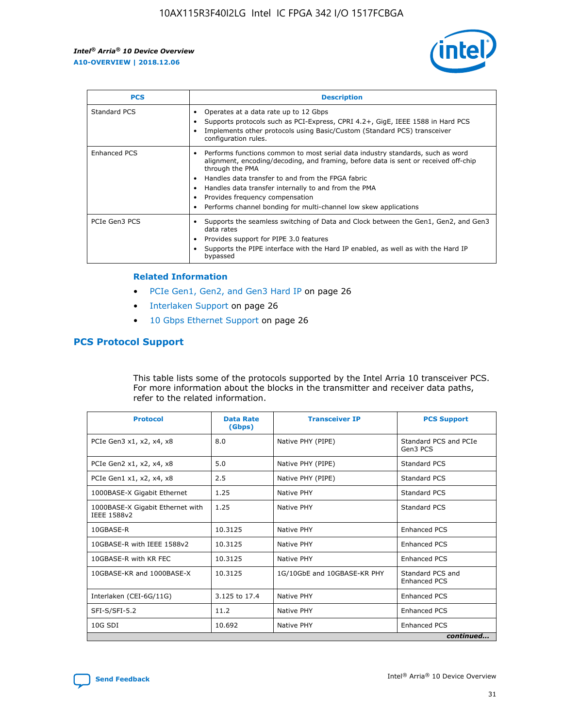

| <b>PCS</b>    | <b>Description</b>                                                                                                                                                                                                                                                                                                                                                                                             |
|---------------|----------------------------------------------------------------------------------------------------------------------------------------------------------------------------------------------------------------------------------------------------------------------------------------------------------------------------------------------------------------------------------------------------------------|
| Standard PCS  | Operates at a data rate up to 12 Gbps<br>Supports protocols such as PCI-Express, CPRI 4.2+, GigE, IEEE 1588 in Hard PCS<br>Implements other protocols using Basic/Custom (Standard PCS) transceiver<br>configuration rules.                                                                                                                                                                                    |
| Enhanced PCS  | Performs functions common to most serial data industry standards, such as word<br>alignment, encoding/decoding, and framing, before data is sent or received off-chip<br>through the PMA<br>• Handles data transfer to and from the FPGA fabric<br>Handles data transfer internally to and from the PMA<br>Provides frequency compensation<br>Performs channel bonding for multi-channel low skew applications |
| PCIe Gen3 PCS | Supports the seamless switching of Data and Clock between the Gen1, Gen2, and Gen3<br>data rates<br>Provides support for PIPE 3.0 features<br>Supports the PIPE interface with the Hard IP enabled, as well as with the Hard IP<br>bypassed                                                                                                                                                                    |

#### **Related Information**

- PCIe Gen1, Gen2, and Gen3 Hard IP on page 26
- Interlaken Support on page 26
- 10 Gbps Ethernet Support on page 26

# **PCS Protocol Support**

This table lists some of the protocols supported by the Intel Arria 10 transceiver PCS. For more information about the blocks in the transmitter and receiver data paths, refer to the related information.

| <b>Protocol</b>                                 | <b>Data Rate</b><br>(Gbps) | <b>Transceiver IP</b>       | <b>PCS Support</b>                      |
|-------------------------------------------------|----------------------------|-----------------------------|-----------------------------------------|
| PCIe Gen3 x1, x2, x4, x8                        | 8.0                        | Native PHY (PIPE)           | Standard PCS and PCIe<br>Gen3 PCS       |
| PCIe Gen2 x1, x2, x4, x8                        | 5.0                        | Native PHY (PIPE)           | <b>Standard PCS</b>                     |
| PCIe Gen1 x1, x2, x4, x8                        | 2.5                        | Native PHY (PIPE)           | Standard PCS                            |
| 1000BASE-X Gigabit Ethernet                     | 1.25                       | Native PHY                  | <b>Standard PCS</b>                     |
| 1000BASE-X Gigabit Ethernet with<br>IEEE 1588v2 | 1.25                       | Native PHY                  | Standard PCS                            |
| 10GBASE-R                                       | 10.3125                    | Native PHY                  | <b>Enhanced PCS</b>                     |
| 10GBASE-R with IEEE 1588v2                      | 10.3125                    | Native PHY                  | <b>Enhanced PCS</b>                     |
| 10GBASE-R with KR FEC                           | 10.3125                    | Native PHY                  | <b>Enhanced PCS</b>                     |
| 10GBASE-KR and 1000BASE-X                       | 10.3125                    | 1G/10GbE and 10GBASE-KR PHY | Standard PCS and<br><b>Enhanced PCS</b> |
| Interlaken (CEI-6G/11G)                         | 3.125 to 17.4              | Native PHY                  | <b>Enhanced PCS</b>                     |
| SFI-S/SFI-5.2                                   | 11.2                       | Native PHY                  | <b>Enhanced PCS</b>                     |
| $10G$ SDI                                       | 10.692                     | Native PHY                  | <b>Enhanced PCS</b>                     |
|                                                 |                            |                             | continued                               |

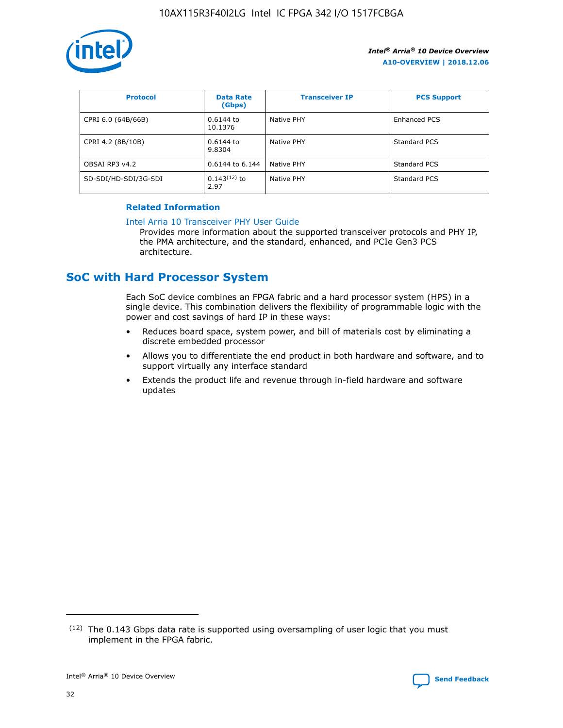

| <b>Protocol</b>      | <b>Data Rate</b><br>(Gbps) | <b>Transceiver IP</b> | <b>PCS Support</b> |
|----------------------|----------------------------|-----------------------|--------------------|
| CPRI 6.0 (64B/66B)   | 0.6144 to<br>10.1376       | Native PHY            | Enhanced PCS       |
| CPRI 4.2 (8B/10B)    | $0.6144$ to<br>9.8304      | Native PHY            | Standard PCS       |
| OBSAI RP3 v4.2       | 0.6144 to 6.144            | Native PHY            | Standard PCS       |
| SD-SDI/HD-SDI/3G-SDI | $0.143(12)$ to<br>2.97     | Native PHY            | Standard PCS       |

## **Related Information**

#### [Intel Arria 10 Transceiver PHY User Guide](https://www.intel.com/content/www/us/en/programmable/documentation/nik1398707230472.html#nik1398707091164)

Provides more information about the supported transceiver protocols and PHY IP, the PMA architecture, and the standard, enhanced, and PCIe Gen3 PCS architecture.

# **SoC with Hard Processor System**

Each SoC device combines an FPGA fabric and a hard processor system (HPS) in a single device. This combination delivers the flexibility of programmable logic with the power and cost savings of hard IP in these ways:

- Reduces board space, system power, and bill of materials cost by eliminating a discrete embedded processor
- Allows you to differentiate the end product in both hardware and software, and to support virtually any interface standard
- Extends the product life and revenue through in-field hardware and software updates

<sup>(12)</sup> The 0.143 Gbps data rate is supported using oversampling of user logic that you must implement in the FPGA fabric.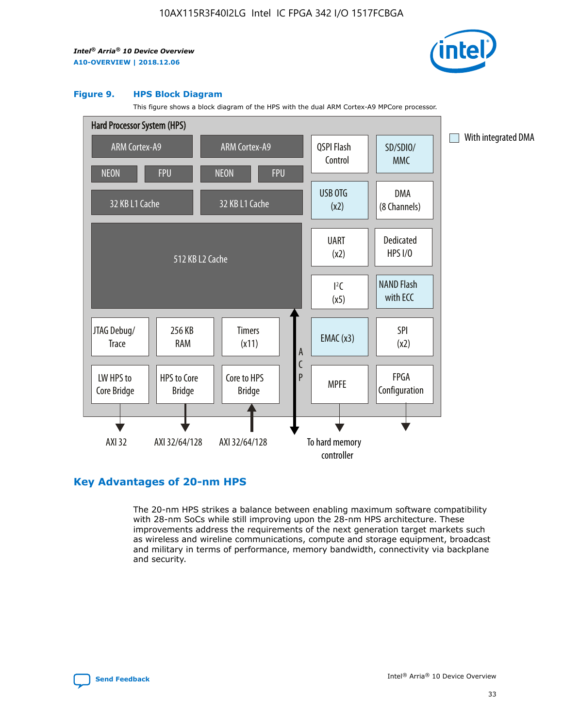

#### **Figure 9. HPS Block Diagram**

This figure shows a block diagram of the HPS with the dual ARM Cortex-A9 MPCore processor.



# **Key Advantages of 20-nm HPS**

The 20-nm HPS strikes a balance between enabling maximum software compatibility with 28-nm SoCs while still improving upon the 28-nm HPS architecture. These improvements address the requirements of the next generation target markets such as wireless and wireline communications, compute and storage equipment, broadcast and military in terms of performance, memory bandwidth, connectivity via backplane and security.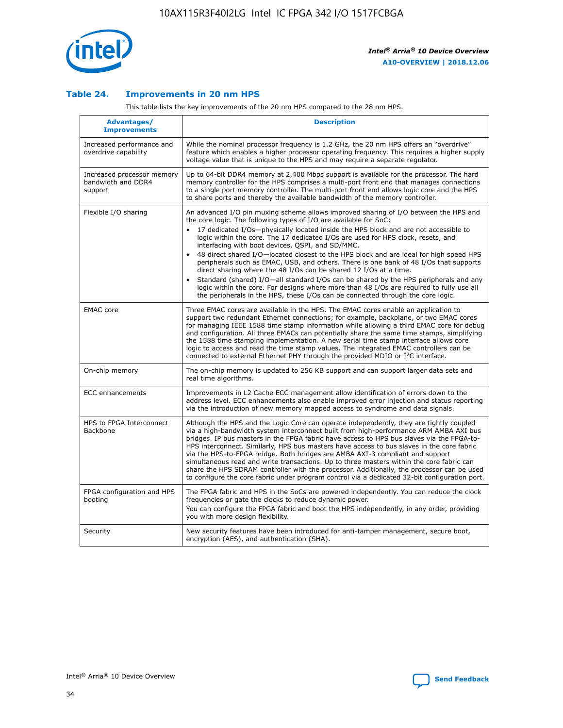

## **Table 24. Improvements in 20 nm HPS**

This table lists the key improvements of the 20 nm HPS compared to the 28 nm HPS.

| Advantages/<br><b>Improvements</b>                          | <b>Description</b>                                                                                                                                                                                                                                                                                                                                                                                                                                                                                                                                                                                                                                                                                                                                                                                                                                                                                                      |
|-------------------------------------------------------------|-------------------------------------------------------------------------------------------------------------------------------------------------------------------------------------------------------------------------------------------------------------------------------------------------------------------------------------------------------------------------------------------------------------------------------------------------------------------------------------------------------------------------------------------------------------------------------------------------------------------------------------------------------------------------------------------------------------------------------------------------------------------------------------------------------------------------------------------------------------------------------------------------------------------------|
| Increased performance and<br>overdrive capability           | While the nominal processor frequency is 1.2 GHz, the 20 nm HPS offers an "overdrive"<br>feature which enables a higher processor operating frequency. This requires a higher supply<br>voltage value that is unique to the HPS and may require a separate regulator.                                                                                                                                                                                                                                                                                                                                                                                                                                                                                                                                                                                                                                                   |
| Increased processor memory<br>bandwidth and DDR4<br>support | Up to 64-bit DDR4 memory at 2,400 Mbps support is available for the processor. The hard<br>memory controller for the HPS comprises a multi-port front end that manages connections<br>to a single port memory controller. The multi-port front end allows logic core and the HPS<br>to share ports and thereby the available bandwidth of the memory controller.                                                                                                                                                                                                                                                                                                                                                                                                                                                                                                                                                        |
| Flexible I/O sharing                                        | An advanced I/O pin muxing scheme allows improved sharing of I/O between the HPS and<br>the core logic. The following types of I/O are available for SoC:<br>17 dedicated I/Os-physically located inside the HPS block and are not accessible to<br>logic within the core. The 17 dedicated I/Os are used for HPS clock, resets, and<br>interfacing with boot devices, QSPI, and SD/MMC.<br>48 direct shared I/O-located closest to the HPS block and are ideal for high speed HPS<br>peripherals such as EMAC, USB, and others. There is one bank of 48 I/Os that supports<br>direct sharing where the 48 I/Os can be shared 12 I/Os at a time.<br>Standard (shared) I/O-all standard I/Os can be shared by the HPS peripherals and any<br>logic within the core. For designs where more than 48 I/Os are reguired to fully use all<br>the peripherals in the HPS, these I/Os can be connected through the core logic. |
| <b>EMAC</b> core                                            | Three EMAC cores are available in the HPS. The EMAC cores enable an application to<br>support two redundant Ethernet connections; for example, backplane, or two EMAC cores<br>for managing IEEE 1588 time stamp information while allowing a third EMAC core for debug<br>and configuration. All three EMACs can potentially share the same time stamps, simplifying<br>the 1588 time stamping implementation. A new serial time stamp interface allows core<br>logic to access and read the time stamp values. The integrated EMAC controllers can be<br>connected to external Ethernet PHY through the provided MDIO or I <sup>2</sup> C interface.                                                                                                                                                                                                                                                                  |
| On-chip memory                                              | The on-chip memory is updated to 256 KB support and can support larger data sets and<br>real time algorithms.                                                                                                                                                                                                                                                                                                                                                                                                                                                                                                                                                                                                                                                                                                                                                                                                           |
| <b>ECC</b> enhancements                                     | Improvements in L2 Cache ECC management allow identification of errors down to the<br>address level. ECC enhancements also enable improved error injection and status reporting<br>via the introduction of new memory mapped access to syndrome and data signals.                                                                                                                                                                                                                                                                                                                                                                                                                                                                                                                                                                                                                                                       |
| HPS to FPGA Interconnect<br>Backbone                        | Although the HPS and the Logic Core can operate independently, they are tightly coupled<br>via a high-bandwidth system interconnect built from high-performance ARM AMBA AXI bus<br>bridges. IP bus masters in the FPGA fabric have access to HPS bus slaves via the FPGA-to-<br>HPS interconnect. Similarly, HPS bus masters have access to bus slaves in the core fabric<br>via the HPS-to-FPGA bridge. Both bridges are AMBA AXI-3 compliant and support<br>simultaneous read and write transactions. Up to three masters within the core fabric can<br>share the HPS SDRAM controller with the processor. Additionally, the processor can be used<br>to configure the core fabric under program control via a dedicated 32-bit configuration port.                                                                                                                                                                  |
| FPGA configuration and HPS<br>booting                       | The FPGA fabric and HPS in the SoCs are powered independently. You can reduce the clock<br>frequencies or gate the clocks to reduce dynamic power.<br>You can configure the FPGA fabric and boot the HPS independently, in any order, providing<br>you with more design flexibility.                                                                                                                                                                                                                                                                                                                                                                                                                                                                                                                                                                                                                                    |
| Security                                                    | New security features have been introduced for anti-tamper management, secure boot,<br>encryption (AES), and authentication (SHA).                                                                                                                                                                                                                                                                                                                                                                                                                                                                                                                                                                                                                                                                                                                                                                                      |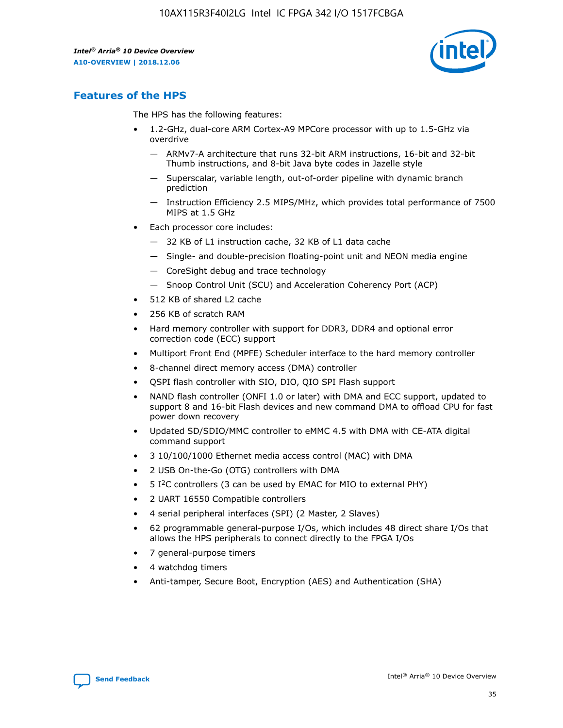

# **Features of the HPS**

The HPS has the following features:

- 1.2-GHz, dual-core ARM Cortex-A9 MPCore processor with up to 1.5-GHz via overdrive
	- ARMv7-A architecture that runs 32-bit ARM instructions, 16-bit and 32-bit Thumb instructions, and 8-bit Java byte codes in Jazelle style
	- Superscalar, variable length, out-of-order pipeline with dynamic branch prediction
	- Instruction Efficiency 2.5 MIPS/MHz, which provides total performance of 7500 MIPS at 1.5 GHz
- Each processor core includes:
	- 32 KB of L1 instruction cache, 32 KB of L1 data cache
	- Single- and double-precision floating-point unit and NEON media engine
	- CoreSight debug and trace technology
	- Snoop Control Unit (SCU) and Acceleration Coherency Port (ACP)
- 512 KB of shared L2 cache
- 256 KB of scratch RAM
- Hard memory controller with support for DDR3, DDR4 and optional error correction code (ECC) support
- Multiport Front End (MPFE) Scheduler interface to the hard memory controller
- 8-channel direct memory access (DMA) controller
- QSPI flash controller with SIO, DIO, QIO SPI Flash support
- NAND flash controller (ONFI 1.0 or later) with DMA and ECC support, updated to support 8 and 16-bit Flash devices and new command DMA to offload CPU for fast power down recovery
- Updated SD/SDIO/MMC controller to eMMC 4.5 with DMA with CE-ATA digital command support
- 3 10/100/1000 Ethernet media access control (MAC) with DMA
- 2 USB On-the-Go (OTG) controllers with DMA
- $\bullet$  5 I<sup>2</sup>C controllers (3 can be used by EMAC for MIO to external PHY)
- 2 UART 16550 Compatible controllers
- 4 serial peripheral interfaces (SPI) (2 Master, 2 Slaves)
- 62 programmable general-purpose I/Os, which includes 48 direct share I/Os that allows the HPS peripherals to connect directly to the FPGA I/Os
- 7 general-purpose timers
- 4 watchdog timers
- Anti-tamper, Secure Boot, Encryption (AES) and Authentication (SHA)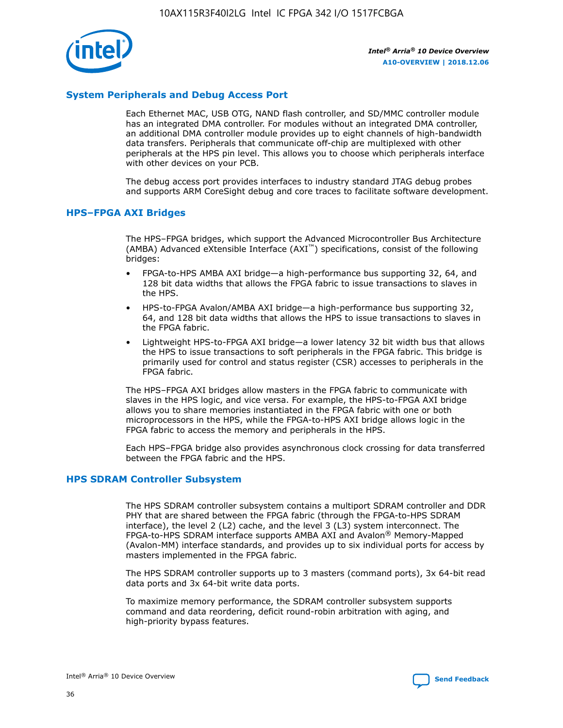

# **System Peripherals and Debug Access Port**

Each Ethernet MAC, USB OTG, NAND flash controller, and SD/MMC controller module has an integrated DMA controller. For modules without an integrated DMA controller, an additional DMA controller module provides up to eight channels of high-bandwidth data transfers. Peripherals that communicate off-chip are multiplexed with other peripherals at the HPS pin level. This allows you to choose which peripherals interface with other devices on your PCB.

The debug access port provides interfaces to industry standard JTAG debug probes and supports ARM CoreSight debug and core traces to facilitate software development.

#### **HPS–FPGA AXI Bridges**

The HPS–FPGA bridges, which support the Advanced Microcontroller Bus Architecture (AMBA) Advanced eXtensible Interface (AXI™) specifications, consist of the following bridges:

- FPGA-to-HPS AMBA AXI bridge—a high-performance bus supporting 32, 64, and 128 bit data widths that allows the FPGA fabric to issue transactions to slaves in the HPS.
- HPS-to-FPGA Avalon/AMBA AXI bridge—a high-performance bus supporting 32, 64, and 128 bit data widths that allows the HPS to issue transactions to slaves in the FPGA fabric.
- Lightweight HPS-to-FPGA AXI bridge—a lower latency 32 bit width bus that allows the HPS to issue transactions to soft peripherals in the FPGA fabric. This bridge is primarily used for control and status register (CSR) accesses to peripherals in the FPGA fabric.

The HPS–FPGA AXI bridges allow masters in the FPGA fabric to communicate with slaves in the HPS logic, and vice versa. For example, the HPS-to-FPGA AXI bridge allows you to share memories instantiated in the FPGA fabric with one or both microprocessors in the HPS, while the FPGA-to-HPS AXI bridge allows logic in the FPGA fabric to access the memory and peripherals in the HPS.

Each HPS–FPGA bridge also provides asynchronous clock crossing for data transferred between the FPGA fabric and the HPS.

#### **HPS SDRAM Controller Subsystem**

The HPS SDRAM controller subsystem contains a multiport SDRAM controller and DDR PHY that are shared between the FPGA fabric (through the FPGA-to-HPS SDRAM interface), the level 2 (L2) cache, and the level 3 (L3) system interconnect. The FPGA-to-HPS SDRAM interface supports AMBA AXI and Avalon® Memory-Mapped (Avalon-MM) interface standards, and provides up to six individual ports for access by masters implemented in the FPGA fabric.

The HPS SDRAM controller supports up to 3 masters (command ports), 3x 64-bit read data ports and 3x 64-bit write data ports.

To maximize memory performance, the SDRAM controller subsystem supports command and data reordering, deficit round-robin arbitration with aging, and high-priority bypass features.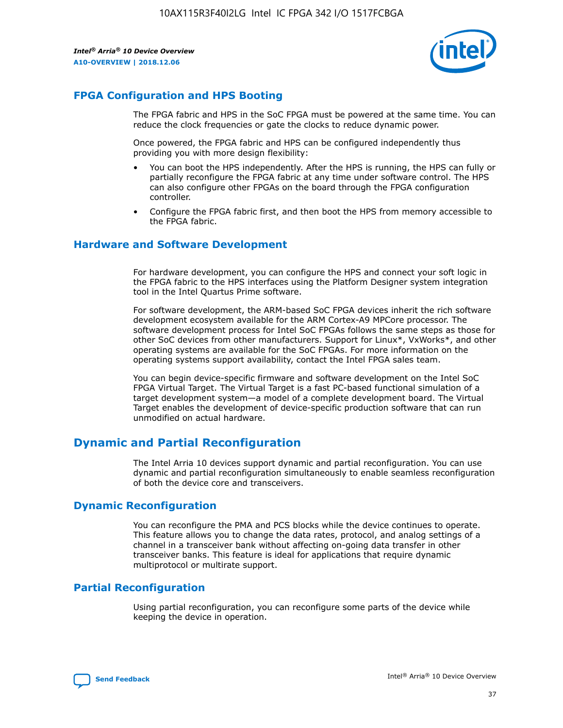

# **FPGA Configuration and HPS Booting**

The FPGA fabric and HPS in the SoC FPGA must be powered at the same time. You can reduce the clock frequencies or gate the clocks to reduce dynamic power.

Once powered, the FPGA fabric and HPS can be configured independently thus providing you with more design flexibility:

- You can boot the HPS independently. After the HPS is running, the HPS can fully or partially reconfigure the FPGA fabric at any time under software control. The HPS can also configure other FPGAs on the board through the FPGA configuration controller.
- Configure the FPGA fabric first, and then boot the HPS from memory accessible to the FPGA fabric.

## **Hardware and Software Development**

For hardware development, you can configure the HPS and connect your soft logic in the FPGA fabric to the HPS interfaces using the Platform Designer system integration tool in the Intel Quartus Prime software.

For software development, the ARM-based SoC FPGA devices inherit the rich software development ecosystem available for the ARM Cortex-A9 MPCore processor. The software development process for Intel SoC FPGAs follows the same steps as those for other SoC devices from other manufacturers. Support for Linux\*, VxWorks\*, and other operating systems are available for the SoC FPGAs. For more information on the operating systems support availability, contact the Intel FPGA sales team.

You can begin device-specific firmware and software development on the Intel SoC FPGA Virtual Target. The Virtual Target is a fast PC-based functional simulation of a target development system—a model of a complete development board. The Virtual Target enables the development of device-specific production software that can run unmodified on actual hardware.

# **Dynamic and Partial Reconfiguration**

The Intel Arria 10 devices support dynamic and partial reconfiguration. You can use dynamic and partial reconfiguration simultaneously to enable seamless reconfiguration of both the device core and transceivers.

# **Dynamic Reconfiguration**

You can reconfigure the PMA and PCS blocks while the device continues to operate. This feature allows you to change the data rates, protocol, and analog settings of a channel in a transceiver bank without affecting on-going data transfer in other transceiver banks. This feature is ideal for applications that require dynamic multiprotocol or multirate support.

# **Partial Reconfiguration**

Using partial reconfiguration, you can reconfigure some parts of the device while keeping the device in operation.

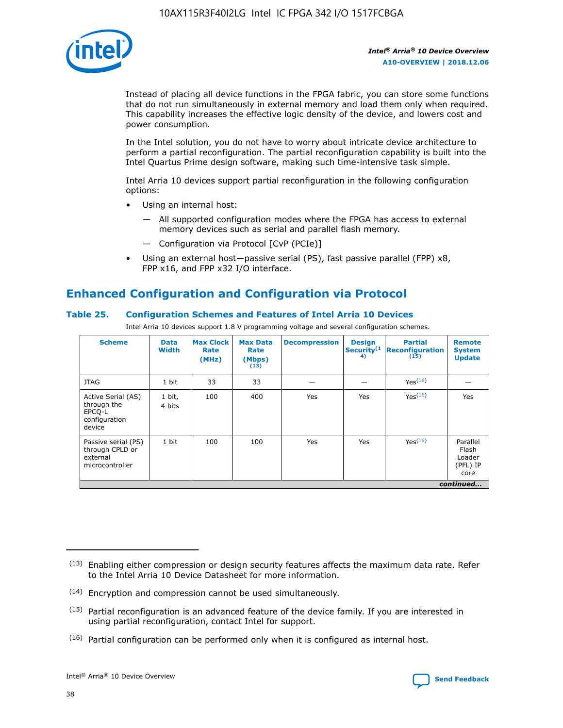

Instead of placing all device functions in the FPGA fabric, you can store some functions that do not run simultaneously in external memory and load them only when required. This capability increases the effective logic density of the device, and lowers cost and power consumption.

In the Intel solution, you do not have to worry about intricate device architecture to perform a partial reconfiguration. The partial reconfiguration capability is built into the Intel Quartus Prime design software, making such time-intensive task simple.

Intel Arria 10 devices support partial reconfiguration in the following configuration options:

- Using an internal host:
	- All supported configuration modes where the FPGA has access to external memory devices such as serial and parallel flash memory.
	- Configuration via Protocol [CvP (PCIe)]
- Using an external host—passive serial (PS), fast passive parallel (FPP) x8, FPP x16, and FPP x32 I/O interface.

# **Enhanced Configuration and Configuration via Protocol**

# **Table 25. Configuration Schemes and Features of Intel Arria 10 Devices**

Intel Arria 10 devices support 1.8 V programming voltage and several configuration schemes.

| <b>Scheme</b>                                                          | <b>Data</b><br><b>Width</b> | <b>Max Clock</b><br>Rate<br>(MHz) | <b>Max Data</b><br>Rate<br>(Mbps)<br>(13) | <b>Decompression</b> | <b>Design</b><br>Security <sup>(1</sup><br>4) | <b>Partial</b><br><b>Reconfiguration</b><br>(15) | <b>Remote</b><br><b>System</b><br><b>Update</b> |
|------------------------------------------------------------------------|-----------------------------|-----------------------------------|-------------------------------------------|----------------------|-----------------------------------------------|--------------------------------------------------|-------------------------------------------------|
| <b>JTAG</b>                                                            | 1 bit                       | 33                                | 33                                        |                      |                                               | Yes(16)                                          |                                                 |
| Active Serial (AS)<br>through the<br>EPCO-L<br>configuration<br>device | 1 bit,<br>4 bits            | 100                               | 400                                       | Yes                  | Yes                                           | $Y_{PS}(16)$                                     | Yes                                             |
| Passive serial (PS)<br>through CPLD or<br>external<br>microcontroller  | 1 bit                       | 100                               | 100                                       | Yes                  | Yes                                           | Yes(16)                                          | Parallel<br>Flash<br>Loader<br>(PFL) IP<br>core |
|                                                                        |                             |                                   |                                           |                      |                                               |                                                  | continued                                       |

<sup>(13)</sup> Enabling either compression or design security features affects the maximum data rate. Refer to the Intel Arria 10 Device Datasheet for more information.

<sup>(14)</sup> Encryption and compression cannot be used simultaneously.

 $(15)$  Partial reconfiguration is an advanced feature of the device family. If you are interested in using partial reconfiguration, contact Intel for support.

 $(16)$  Partial configuration can be performed only when it is configured as internal host.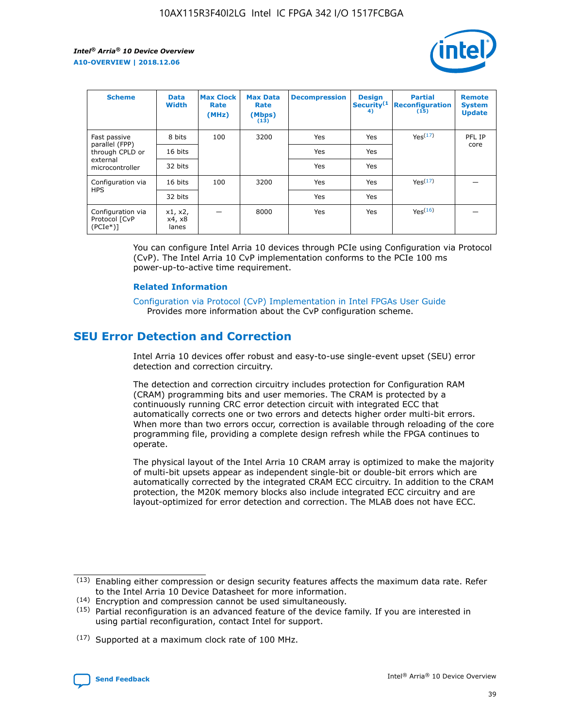

| <b>Scheme</b>                                    | <b>Data</b><br><b>Width</b> | <b>Max Clock</b><br>Rate<br>(MHz) | <b>Max Data</b><br>Rate<br>(Mbps)<br>(13) | <b>Decompression</b> | <b>Design</b><br>Security <sup>(1</sup><br>4) | <b>Partial</b><br><b>Reconfiguration</b><br>(15) | <b>Remote</b><br><b>System</b><br><b>Update</b> |
|--------------------------------------------------|-----------------------------|-----------------------------------|-------------------------------------------|----------------------|-----------------------------------------------|--------------------------------------------------|-------------------------------------------------|
| Fast passive                                     | 8 bits                      | 100                               | 3200                                      | Yes                  | Yes                                           | Yes(17)                                          | PFL IP                                          |
| parallel (FPP)<br>through CPLD or                | 16 bits                     |                                   |                                           | Yes                  | Yes                                           |                                                  | core                                            |
| external<br>microcontroller                      | 32 bits                     |                                   |                                           | Yes                  | Yes                                           |                                                  |                                                 |
| Configuration via                                | 16 bits                     | 100                               | 3200                                      | Yes                  | Yes                                           | Yes <sup>(17)</sup>                              |                                                 |
| <b>HPS</b>                                       | 32 bits                     |                                   |                                           | Yes                  | Yes                                           |                                                  |                                                 |
| Configuration via<br>Protocol [CvP<br>$(PCIe^*)$ | x1, x2,<br>x4, x8<br>lanes  |                                   | 8000                                      | Yes                  | Yes                                           | Yes(16)                                          |                                                 |

You can configure Intel Arria 10 devices through PCIe using Configuration via Protocol (CvP). The Intel Arria 10 CvP implementation conforms to the PCIe 100 ms power-up-to-active time requirement.

#### **Related Information**

[Configuration via Protocol \(CvP\) Implementation in Intel FPGAs User Guide](https://www.intel.com/content/www/us/en/programmable/documentation/dsu1441819344145.html#dsu1442269728522) Provides more information about the CvP configuration scheme.

# **SEU Error Detection and Correction**

Intel Arria 10 devices offer robust and easy-to-use single-event upset (SEU) error detection and correction circuitry.

The detection and correction circuitry includes protection for Configuration RAM (CRAM) programming bits and user memories. The CRAM is protected by a continuously running CRC error detection circuit with integrated ECC that automatically corrects one or two errors and detects higher order multi-bit errors. When more than two errors occur, correction is available through reloading of the core programming file, providing a complete design refresh while the FPGA continues to operate.

The physical layout of the Intel Arria 10 CRAM array is optimized to make the majority of multi-bit upsets appear as independent single-bit or double-bit errors which are automatically corrected by the integrated CRAM ECC circuitry. In addition to the CRAM protection, the M20K memory blocks also include integrated ECC circuitry and are layout-optimized for error detection and correction. The MLAB does not have ECC.

(14) Encryption and compression cannot be used simultaneously.

<sup>(17)</sup> Supported at a maximum clock rate of 100 MHz.



 $(13)$  Enabling either compression or design security features affects the maximum data rate. Refer to the Intel Arria 10 Device Datasheet for more information.

 $(15)$  Partial reconfiguration is an advanced feature of the device family. If you are interested in using partial reconfiguration, contact Intel for support.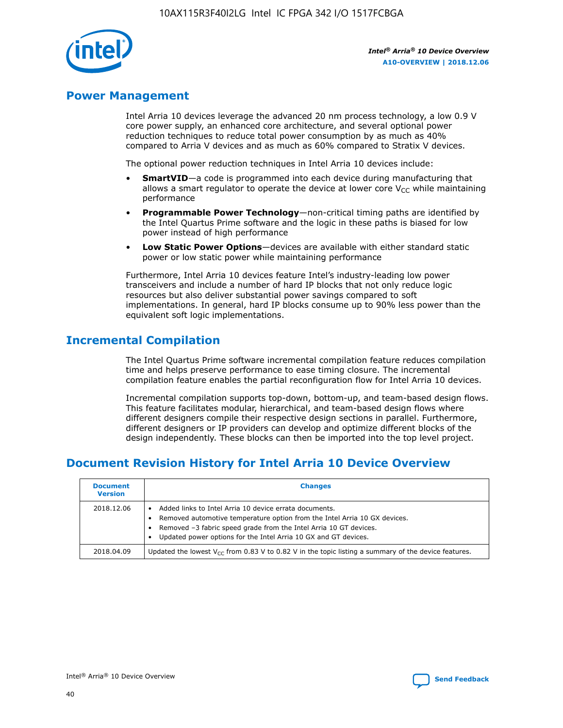

# **Power Management**

Intel Arria 10 devices leverage the advanced 20 nm process technology, a low 0.9 V core power supply, an enhanced core architecture, and several optional power reduction techniques to reduce total power consumption by as much as 40% compared to Arria V devices and as much as 60% compared to Stratix V devices.

The optional power reduction techniques in Intel Arria 10 devices include:

- **SmartVID**—a code is programmed into each device during manufacturing that allows a smart regulator to operate the device at lower core  $V_{CC}$  while maintaining performance
- **Programmable Power Technology**—non-critical timing paths are identified by the Intel Quartus Prime software and the logic in these paths is biased for low power instead of high performance
- **Low Static Power Options**—devices are available with either standard static power or low static power while maintaining performance

Furthermore, Intel Arria 10 devices feature Intel's industry-leading low power transceivers and include a number of hard IP blocks that not only reduce logic resources but also deliver substantial power savings compared to soft implementations. In general, hard IP blocks consume up to 90% less power than the equivalent soft logic implementations.

# **Incremental Compilation**

The Intel Quartus Prime software incremental compilation feature reduces compilation time and helps preserve performance to ease timing closure. The incremental compilation feature enables the partial reconfiguration flow for Intel Arria 10 devices.

Incremental compilation supports top-down, bottom-up, and team-based design flows. This feature facilitates modular, hierarchical, and team-based design flows where different designers compile their respective design sections in parallel. Furthermore, different designers or IP providers can develop and optimize different blocks of the design independently. These blocks can then be imported into the top level project.

# **Document Revision History for Intel Arria 10 Device Overview**

| <b>Document</b><br><b>Version</b> | <b>Changes</b>                                                                                                                                                                                                                                                              |
|-----------------------------------|-----------------------------------------------------------------------------------------------------------------------------------------------------------------------------------------------------------------------------------------------------------------------------|
| 2018.12.06                        | Added links to Intel Arria 10 device errata documents.<br>Removed automotive temperature option from the Intel Arria 10 GX devices.<br>Removed -3 fabric speed grade from the Intel Arria 10 GT devices.<br>Updated power options for the Intel Arria 10 GX and GT devices. |
| 2018.04.09                        | Updated the lowest $V_{CC}$ from 0.83 V to 0.82 V in the topic listing a summary of the device features.                                                                                                                                                                    |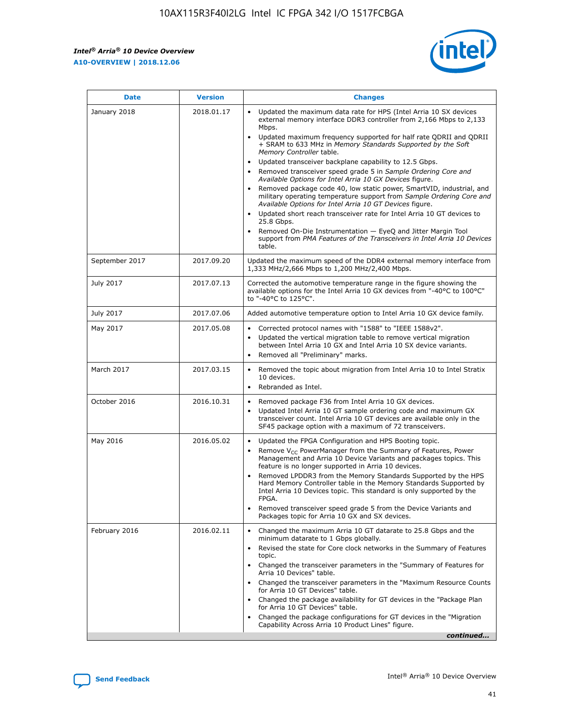*Intel® Arria® 10 Device Overview* **A10-OVERVIEW | 2018.12.06**



| <b>Date</b>    | <b>Version</b> | <b>Changes</b>                                                                                                                                                                                                                                                                                                                                                                                                                                                                                                                                                                                                                                                                                                                                                                                                                                                                                                                                                            |
|----------------|----------------|---------------------------------------------------------------------------------------------------------------------------------------------------------------------------------------------------------------------------------------------------------------------------------------------------------------------------------------------------------------------------------------------------------------------------------------------------------------------------------------------------------------------------------------------------------------------------------------------------------------------------------------------------------------------------------------------------------------------------------------------------------------------------------------------------------------------------------------------------------------------------------------------------------------------------------------------------------------------------|
| January 2018   | 2018.01.17     | Updated the maximum data rate for HPS (Intel Arria 10 SX devices<br>external memory interface DDR3 controller from 2,166 Mbps to 2,133<br>Mbps.<br>Updated maximum frequency supported for half rate QDRII and QDRII<br>+ SRAM to 633 MHz in Memory Standards Supported by the Soft<br>Memory Controller table.<br>Updated transceiver backplane capability to 12.5 Gbps.<br>$\bullet$<br>Removed transceiver speed grade 5 in Sample Ordering Core and<br>Available Options for Intel Arria 10 GX Devices figure.<br>Removed package code 40, low static power, SmartVID, industrial, and<br>military operating temperature support from Sample Ordering Core and<br>Available Options for Intel Arria 10 GT Devices figure.<br>Updated short reach transceiver rate for Intel Arria 10 GT devices to<br>25.8 Gbps.<br>Removed On-Die Instrumentation - EyeQ and Jitter Margin Tool<br>support from PMA Features of the Transceivers in Intel Arria 10 Devices<br>table. |
| September 2017 | 2017.09.20     | Updated the maximum speed of the DDR4 external memory interface from<br>1,333 MHz/2,666 Mbps to 1,200 MHz/2,400 Mbps.                                                                                                                                                                                                                                                                                                                                                                                                                                                                                                                                                                                                                                                                                                                                                                                                                                                     |
| July 2017      | 2017.07.13     | Corrected the automotive temperature range in the figure showing the<br>available options for the Intel Arria 10 GX devices from "-40°C to 100°C"<br>to "-40°C to 125°C".                                                                                                                                                                                                                                                                                                                                                                                                                                                                                                                                                                                                                                                                                                                                                                                                 |
| July 2017      | 2017.07.06     | Added automotive temperature option to Intel Arria 10 GX device family.                                                                                                                                                                                                                                                                                                                                                                                                                                                                                                                                                                                                                                                                                                                                                                                                                                                                                                   |
| May 2017       | 2017.05.08     | Corrected protocol names with "1588" to "IEEE 1588v2".<br>Updated the vertical migration table to remove vertical migration<br>between Intel Arria 10 GX and Intel Arria 10 SX device variants.<br>Removed all "Preliminary" marks.                                                                                                                                                                                                                                                                                                                                                                                                                                                                                                                                                                                                                                                                                                                                       |
| March 2017     | 2017.03.15     | Removed the topic about migration from Intel Arria 10 to Intel Stratix<br>10 devices.<br>Rebranded as Intel.<br>$\bullet$                                                                                                                                                                                                                                                                                                                                                                                                                                                                                                                                                                                                                                                                                                                                                                                                                                                 |
| October 2016   | 2016.10.31     | Removed package F36 from Intel Arria 10 GX devices.<br>Updated Intel Arria 10 GT sample ordering code and maximum GX<br>$\bullet$<br>transceiver count. Intel Arria 10 GT devices are available only in the<br>SF45 package option with a maximum of 72 transceivers.                                                                                                                                                                                                                                                                                                                                                                                                                                                                                                                                                                                                                                                                                                     |
| May 2016       | 2016.05.02     | Updated the FPGA Configuration and HPS Booting topic.<br>Remove V <sub>CC</sub> PowerManager from the Summary of Features, Power<br>Management and Arria 10 Device Variants and packages topics. This<br>feature is no longer supported in Arria 10 devices.<br>Removed LPDDR3 from the Memory Standards Supported by the HPS<br>Hard Memory Controller table in the Memory Standards Supported by<br>Intel Arria 10 Devices topic. This standard is only supported by the<br>FPGA.<br>Removed transceiver speed grade 5 from the Device Variants and<br>Packages topic for Arria 10 GX and SX devices.                                                                                                                                                                                                                                                                                                                                                                   |
| February 2016  | 2016.02.11     | Changed the maximum Arria 10 GT datarate to 25.8 Gbps and the<br>minimum datarate to 1 Gbps globally.<br>Revised the state for Core clock networks in the Summary of Features<br>$\bullet$<br>topic.<br>Changed the transceiver parameters in the "Summary of Features for<br>Arria 10 Devices" table.<br>• Changed the transceiver parameters in the "Maximum Resource Counts<br>for Arria 10 GT Devices" table.<br>• Changed the package availability for GT devices in the "Package Plan<br>for Arria 10 GT Devices" table.<br>Changed the package configurations for GT devices in the "Migration"<br>Capability Across Arria 10 Product Lines" figure.<br>continued                                                                                                                                                                                                                                                                                                  |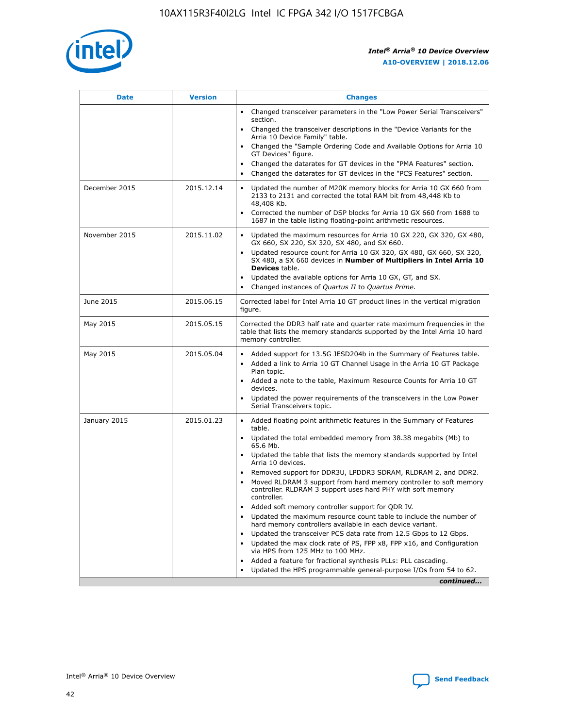

| <b>Date</b>   | <b>Version</b> | <b>Changes</b>                                                                                                                                                                   |
|---------------|----------------|----------------------------------------------------------------------------------------------------------------------------------------------------------------------------------|
|               |                | • Changed transceiver parameters in the "Low Power Serial Transceivers"<br>section.                                                                                              |
|               |                | • Changed the transceiver descriptions in the "Device Variants for the<br>Arria 10 Device Family" table.                                                                         |
|               |                | Changed the "Sample Ordering Code and Available Options for Arria 10<br>GT Devices" figure.                                                                                      |
|               |                | Changed the datarates for GT devices in the "PMA Features" section.                                                                                                              |
|               |                | Changed the datarates for GT devices in the "PCS Features" section.<br>$\bullet$                                                                                                 |
| December 2015 | 2015.12.14     | Updated the number of M20K memory blocks for Arria 10 GX 660 from<br>$\bullet$<br>2133 to 2131 and corrected the total RAM bit from 48,448 Kb to<br>48,408 Kb.                   |
|               |                | Corrected the number of DSP blocks for Arria 10 GX 660 from 1688 to<br>$\bullet$<br>1687 in the table listing floating-point arithmetic resources.                               |
| November 2015 | 2015.11.02     | Updated the maximum resources for Arria 10 GX 220, GX 320, GX 480,<br>$\bullet$<br>GX 660, SX 220, SX 320, SX 480, and SX 660.                                                   |
|               |                | Updated resource count for Arria 10 GX 320, GX 480, GX 660, SX 320,<br>$\bullet$<br>SX 480, a SX 660 devices in Number of Multipliers in Intel Arria 10<br><b>Devices</b> table. |
|               |                | Updated the available options for Arria 10 GX, GT, and SX.<br>$\bullet$                                                                                                          |
|               |                | Changed instances of Quartus II to Quartus Prime.<br>$\bullet$                                                                                                                   |
| June 2015     | 2015.06.15     | Corrected label for Intel Arria 10 GT product lines in the vertical migration<br>figure.                                                                                         |
| May 2015      | 2015.05.15     | Corrected the DDR3 half rate and quarter rate maximum frequencies in the<br>table that lists the memory standards supported by the Intel Arria 10 hard<br>memory controller.     |
| May 2015      | 2015.05.04     | • Added support for 13.5G JESD204b in the Summary of Features table.<br>• Added a link to Arria 10 GT Channel Usage in the Arria 10 GT Package<br>Plan topic.                    |
|               |                | • Added a note to the table, Maximum Resource Counts for Arria 10 GT<br>devices.                                                                                                 |
|               |                | Updated the power requirements of the transceivers in the Low Power<br>Serial Transceivers topic.                                                                                |
| January 2015  | 2015.01.23     | • Added floating point arithmetic features in the Summary of Features<br>table.                                                                                                  |
|               |                | • Updated the total embedded memory from 38.38 megabits (Mb) to<br>65.6 Mb.                                                                                                      |
|               |                | • Updated the table that lists the memory standards supported by Intel<br>Arria 10 devices.                                                                                      |
|               |                | Removed support for DDR3U, LPDDR3 SDRAM, RLDRAM 2, and DDR2.                                                                                                                     |
|               |                | Moved RLDRAM 3 support from hard memory controller to soft memory<br>controller. RLDRAM 3 support uses hard PHY with soft memory<br>controller.                                  |
|               |                | Added soft memory controller support for QDR IV.                                                                                                                                 |
|               |                | Updated the maximum resource count table to include the number of<br>hard memory controllers available in each device variant.                                                   |
|               |                | Updated the transceiver PCS data rate from 12.5 Gbps to 12 Gbps.<br>$\bullet$                                                                                                    |
|               |                | Updated the max clock rate of PS, FPP x8, FPP x16, and Configuration<br>via HPS from 125 MHz to 100 MHz.                                                                         |
|               |                | Added a feature for fractional synthesis PLLs: PLL cascading.                                                                                                                    |
|               |                | Updated the HPS programmable general-purpose I/Os from 54 to 62.                                                                                                                 |
|               |                | continued                                                                                                                                                                        |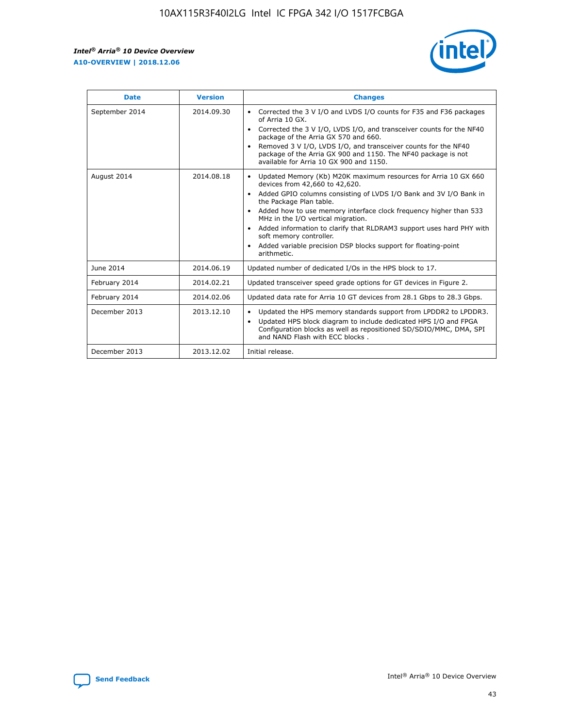r



| <b>Date</b>    | <b>Version</b> | <b>Changes</b>                                                                                                                                                                                                                                                                                                                                                                                                                                                                                                                                      |
|----------------|----------------|-----------------------------------------------------------------------------------------------------------------------------------------------------------------------------------------------------------------------------------------------------------------------------------------------------------------------------------------------------------------------------------------------------------------------------------------------------------------------------------------------------------------------------------------------------|
| September 2014 | 2014.09.30     | Corrected the 3 V I/O and LVDS I/O counts for F35 and F36 packages<br>$\bullet$<br>of Arria 10 GX.<br>Corrected the 3 V I/O, LVDS I/O, and transceiver counts for the NF40<br>$\bullet$<br>package of the Arria GX 570 and 660.<br>Removed 3 V I/O, LVDS I/O, and transceiver counts for the NF40<br>package of the Arria GX 900 and 1150. The NF40 package is not<br>available for Arria 10 GX 900 and 1150.                                                                                                                                       |
| August 2014    | 2014.08.18     | Updated Memory (Kb) M20K maximum resources for Arria 10 GX 660<br>devices from 42,660 to 42,620.<br>Added GPIO columns consisting of LVDS I/O Bank and 3V I/O Bank in<br>$\bullet$<br>the Package Plan table.<br>Added how to use memory interface clock frequency higher than 533<br>$\bullet$<br>MHz in the I/O vertical migration.<br>Added information to clarify that RLDRAM3 support uses hard PHY with<br>$\bullet$<br>soft memory controller.<br>Added variable precision DSP blocks support for floating-point<br>$\bullet$<br>arithmetic. |
| June 2014      | 2014.06.19     | Updated number of dedicated I/Os in the HPS block to 17.                                                                                                                                                                                                                                                                                                                                                                                                                                                                                            |
| February 2014  | 2014.02.21     | Updated transceiver speed grade options for GT devices in Figure 2.                                                                                                                                                                                                                                                                                                                                                                                                                                                                                 |
| February 2014  | 2014.02.06     | Updated data rate for Arria 10 GT devices from 28.1 Gbps to 28.3 Gbps.                                                                                                                                                                                                                                                                                                                                                                                                                                                                              |
| December 2013  | 2013.12.10     | Updated the HPS memory standards support from LPDDR2 to LPDDR3.<br>Updated HPS block diagram to include dedicated HPS I/O and FPGA<br>$\bullet$<br>Configuration blocks as well as repositioned SD/SDIO/MMC, DMA, SPI<br>and NAND Flash with ECC blocks.                                                                                                                                                                                                                                                                                            |
| December 2013  | 2013.12.02     | Initial release.                                                                                                                                                                                                                                                                                                                                                                                                                                                                                                                                    |